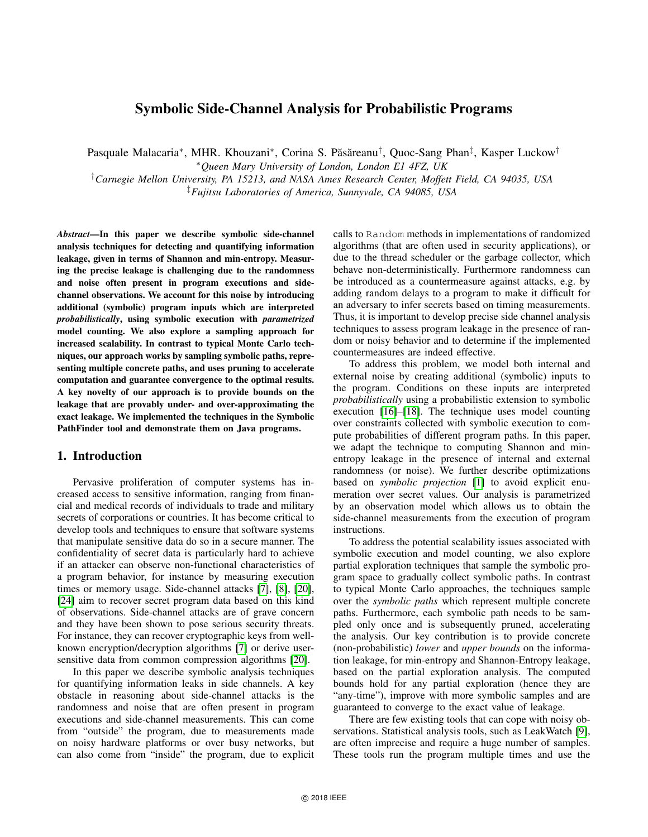# Symbolic Side-Channel Analysis for Probabilistic Programs

Pasquale Malacaria\*, MHR. Khouzani\*, Corina S. Păsăreanu<sup>†</sup>, Quoc-Sang Phan<sup>‡</sup>, Kasper Luckow<sup>†</sup>

<sup>∗</sup>*Queen Mary University of London, London E1 4FZ, UK*

†*Carnegie Mellon University, PA 15213, and NASA Ames Research Center, Moffett Field, CA 94035, USA*

‡*Fujitsu Laboratories of America, Sunnyvale, CA 94085, USA*

*Abstract*—In this paper we describe symbolic side-channel analysis techniques for detecting and quantifying information leakage, given in terms of Shannon and min-entropy. Measuring the precise leakage is challenging due to the randomness and noise often present in program executions and sidechannel observations. We account for this noise by introducing additional (symbolic) program inputs which are interpreted *probabilistically*, using symbolic execution with *parametrized* model counting. We also explore a sampling approach for increased scalability. In contrast to typical Monte Carlo techniques, our approach works by sampling symbolic paths, representing multiple concrete paths, and uses pruning to accelerate computation and guarantee convergence to the optimal results. A key novelty of our approach is to provide bounds on the leakage that are provably under- and over-approximating the exact leakage. We implemented the techniques in the Symbolic PathFinder tool and demonstrate them on Java programs.

# 1. Introduction

Pervasive proliferation of computer systems has increased access to sensitive information, ranging from financial and medical records of individuals to trade and military secrets of corporations or countries. It has become critical to develop tools and techniques to ensure that software systems that manipulate sensitive data do so in a secure manner. The confidentiality of secret data is particularly hard to achieve if an attacker can observe non-functional characteristics of a program behavior, for instance by measuring execution times or memory usage. Side-channel attacks [\[7\]](#page-14-0), [\[8\]](#page-14-1), [\[20\]](#page-14-2), [\[24\]](#page-14-3) aim to recover secret program data based on this kind of observations. Side-channel attacks are of grave concern and they have been shown to pose serious security threats. For instance, they can recover cryptographic keys from wellknown encryption/decryption algorithms [\[7\]](#page-14-0) or derive usersensitive data from common compression algorithms [\[20\]](#page-14-2).

In this paper we describe symbolic analysis techniques for quantifying information leaks in side channels. A key obstacle in reasoning about side-channel attacks is the randomness and noise that are often present in program executions and side-channel measurements. This can come from "outside" the program, due to measurements made on noisy hardware platforms or over busy networks, but can also come from "inside" the program, due to explicit calls to Random methods in implementations of randomized algorithms (that are often used in security applications), or due to the thread scheduler or the garbage collector, which behave non-deterministically. Furthermore randomness can be introduced as a countermeasure against attacks, e.g. by adding random delays to a program to make it difficult for an adversary to infer secrets based on timing measurements. Thus, it is important to develop precise side channel analysis techniques to assess program leakage in the presence of random or noisy behavior and to determine if the implemented countermeasures are indeed effective.

To address this problem, we model both internal and external noise by creating additional (symbolic) inputs to the program. Conditions on these inputs are interpreted *probabilistically* using a probabilistic extension to symbolic execution [\[16\]](#page-14-4)–[\[18\]](#page-14-5). The technique uses model counting over constraints collected with symbolic execution to compute probabilities of different program paths. In this paper, we adapt the technique to computing Shannon and minentropy leakage in the presence of internal and external randomness (or noise). We further describe optimizations based on *symbolic projection* [\[1\]](#page-13-0) to avoid explicit enumeration over secret values. Our analysis is parametrized by an observation model which allows us to obtain the side-channel measurements from the execution of program instructions.

To address the potential scalability issues associated with symbolic execution and model counting, we also explore partial exploration techniques that sample the symbolic program space to gradually collect symbolic paths. In contrast to typical Monte Carlo approaches, the techniques sample over the *symbolic paths* which represent multiple concrete paths. Furthermore, each symbolic path needs to be sampled only once and is subsequently pruned, accelerating the analysis. Our key contribution is to provide concrete (non-probabilistic) *lower* and *upper bounds* on the information leakage, for min-entropy and Shannon-Entropy leakage, based on the partial exploration analysis. The computed bounds hold for any partial exploration (hence they are "any-time"), improve with more symbolic samples and are guaranteed to converge to the exact value of leakage.

There are few existing tools that can cope with noisy observations. Statistical analysis tools, such as LeakWatch [\[9\]](#page-14-6), are often imprecise and require a huge number of samples. These tools run the program multiple times and use the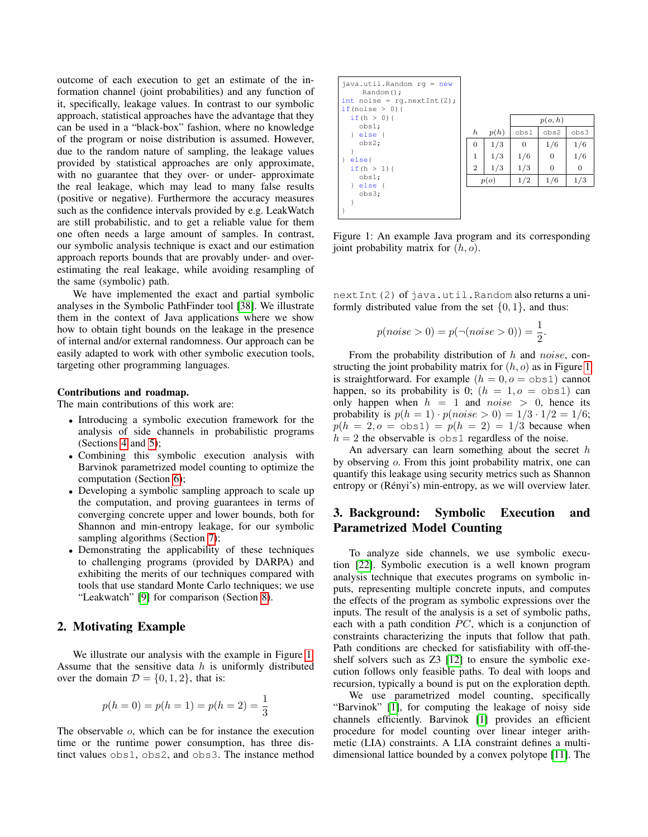outcome of each execution to get an estimate of the information channel (joint probabilities) and any function of it, specifically, leakage values. In contrast to our symbolic approach, statistical approaches have the advantage that they can be used in a "black-box" fashion, where no knowledge of the program or noise distribution is assumed. However, due to the random nature of sampling, the leakage values provided by statistical approaches are only approximate, with no guarantee that they over- or under- approximate the real leakage, which may lead to many false results (positive or negative). Furthermore the accuracy measures such as the confidence intervals provided by e.g. LeakWatch are still probabilistic, and to get a reliable value for them one often needs a large amount of samples. In contrast, our symbolic analysis technique is exact and our estimation approach reports bounds that are provably under- and overestimating the real leakage, while avoiding resampling of the same (symbolic) path.

We have implemented the exact and partial symbolic analyses in the Symbolic PathFinder tool [\[38\]](#page-14-7). We illustrate them in the context of Java applications where we show how to obtain tight bounds on the leakage in the presence of internal and/or external randomness. Our approach can be easily adapted to work with other symbolic execution tools, targeting other programming languages.

#### Contributions and roadmap.

The main contributions of this work are:

- Introducing a symbolic execution framework for the analysis of side channels in probabilistic programs (Sections [4](#page-2-0) and [5\)](#page-3-0);
- Combining this symbolic execution analysis with Barvinok parametrized model counting to optimize the computation (Section [6\)](#page-4-0);
- Developing a symbolic sampling approach to scale up the computation, and proving guarantees in terms of converging concrete upper and lower bounds, both for Shannon and min-entropy leakage, for our symbolic sampling algorithms (Section [7\)](#page-6-0);
- Demonstrating the applicability of these techniques to challenging programs (provided by DARPA) and exhibiting the merits of our techniques compared with tools that use standard Monte Carlo techniques; we use "Leakwatch" [\[9\]](#page-14-6) for comparison (Section [8\)](#page-10-0).

# <span id="page-1-1"></span>2. Motivating Example

We illustrate our analysis with the example in Figure [1.](#page-1-0) Assume that the sensitive data  $h$  is uniformly distributed over the domain  $\mathcal{D} = \{0, 1, 2\}$ , that is:

$$
p(h = 0) = p(h = 1) = p(h = 2) = \frac{1}{3}
$$

The observable o, which can be for instance the execution time or the runtime power consumption, has three distinct values obs1, obs2, and obs3. The instance method

<span id="page-1-0"></span>

Figure 1: An example Java program and its corresponding joint probability matrix for  $(h, o)$ .

nextInt(2) of java.util.Random also returns a uniformly distributed value from the set  $\{0, 1\}$ , and thus:

$$
p(noise > 0) = p(\neg(noise > 0)) = \frac{1}{2}.
$$

From the probability distribution of h and noise, constructing the joint probability matrix for  $(h, o)$  as in Figure [1](#page-1-0) is straightforward. For example  $(h = 0, o = \text{obs1})$  cannot happen, so its probability is 0;  $(h = 1, o = \text{obs1})$  can only happen when  $h = 1$  and  $noise > 0$ , hence its probability is  $p(h = 1) \cdot p(noise > 0) = 1/3 \cdot 1/2 = 1/6;$  $p(h = 2, o = \text{obs1}) = p(h = 2) = 1/3$  because when  $h = 2$  the observable is  $\circ$ bs1 regardless of the noise.

An adversary can learn something about the secret  $h$ by observing o. From this joint probability matrix, one can quantify this leakage using security metrics such as Shannon entropy or (Rényi's) min-entropy, as we will overview later.

# 3. Background: Symbolic Execution and Parametrized Model Counting

To analyze side channels, we use symbolic execution [\[22\]](#page-14-8). Symbolic execution is a well known program analysis technique that executes programs on symbolic inputs, representing multiple concrete inputs, and computes the effects of the program as symbolic expressions over the inputs. The result of the analysis is a set of symbolic paths, each with a path condition  $PC$ , which is a conjunction of constraints characterizing the inputs that follow that path. Path conditions are checked for satisfiability with off-theshelf solvers such as  $Z3$  [\[12\]](#page-14-9) to ensure the symbolic execution follows only feasible paths. To deal with loops and recursion, typically a bound is put on the exploration depth.

We use parametrized model counting, specifically "Barvinok" [\[1\]](#page-13-0), for computing the leakage of noisy side channels efficiently. Barvinok [\[1\]](#page-13-0) provides an efficient procedure for model counting over linear integer arithmetic (LIA) constraints. A LIA constraint defines a multidimensional lattice bounded by a convex polytope [\[11\]](#page-14-10). The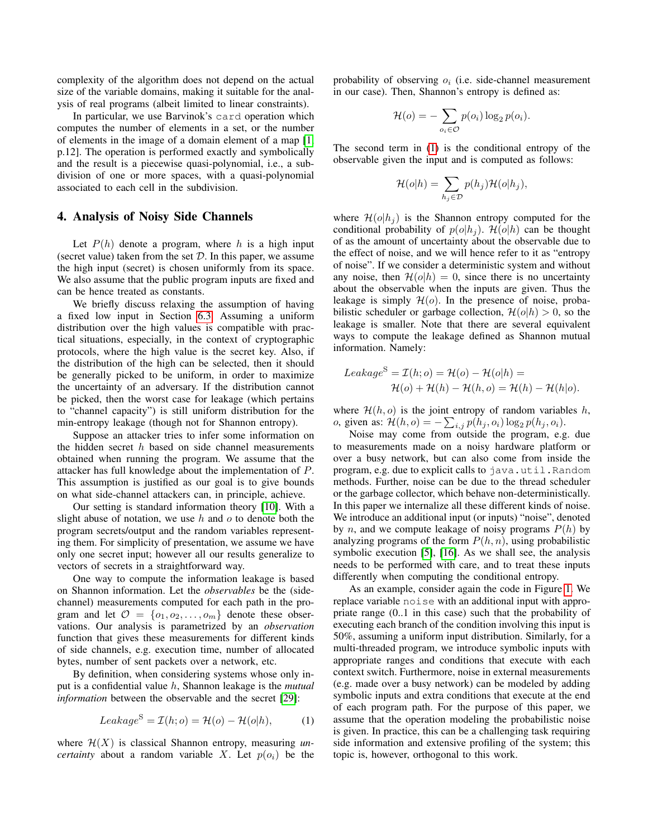complexity of the algorithm does not depend on the actual size of the variable domains, making it suitable for the analysis of real programs (albeit limited to linear constraints).

In particular, we use Barvinok's card operation which computes the number of elements in a set, or the number of elements in the image of a domain element of a map [\[1,](#page-13-0) p.12]. The operation is performed exactly and symbolically and the result is a piecewise quasi-polynomial, i.e., a subdivision of one or more spaces, with a quasi-polynomial associated to each cell in the subdivision.

## <span id="page-2-0"></span>4. Analysis of Noisy Side Channels

Let  $P(h)$  denote a program, where h is a high input (secret value) taken from the set  $D$ . In this paper, we assume the high input (secret) is chosen uniformly from its space. We also assume that the public program inputs are fixed and can be hence treated as constants.

We briefly discuss relaxing the assumption of having a fixed low input in Section [6.3.](#page-6-1) Assuming a uniform distribution over the high values is compatible with practical situations, especially, in the context of cryptographic protocols, where the high value is the secret key. Also, if the distribution of the high can be selected, then it should be generally picked to be uniform, in order to maximize the uncertainty of an adversary. If the distribution cannot be picked, then the worst case for leakage (which pertains to "channel capacity") is still uniform distribution for the min-entropy leakage (though not for Shannon entropy).

Suppose an attacker tries to infer some information on the hidden secret  $h$  based on side channel measurements obtained when running the program. We assume that the attacker has full knowledge about the implementation of P. This assumption is justified as our goal is to give bounds on what side-channel attackers can, in principle, achieve.

Our setting is standard information theory [\[10\]](#page-14-11). With a slight abuse of notation, we use h and  $\sigma$  to denote both the program secrets/output and the random variables representing them. For simplicity of presentation, we assume we have only one secret input; however all our results generalize to vectors of secrets in a straightforward way.

One way to compute the information leakage is based on Shannon information. Let the *observables* be the (sidechannel) measurements computed for each path in the program and let  $\mathcal{O} = \{o_1, o_2, \ldots, o_m\}$  denote these observations. Our analysis is parametrized by an *observation* function that gives these measurements for different kinds of side channels, e.g. execution time, number of allocated bytes, number of sent packets over a network, etc.

By definition, when considering systems whose only input is a confidential value h, Shannon leakage is the *mutual information* between the observable and the secret [\[29\]](#page-14-12):

<span id="page-2-1"></span>
$$
Leakage^{\mathcal{S}} = \mathcal{I}(h; o) = \mathcal{H}(o) - \mathcal{H}(o|h), \tag{1}
$$

where  $\mathcal{H}(X)$  is classical Shannon entropy, measuring *uncertainty* about a random variable X. Let  $p(o_i)$  be the probability of observing  $o_i$  (i.e. side-channel measurement in our case). Then, Shannon's entropy is defined as:

$$
\mathcal{H}(o) = -\sum_{o_i \in \mathcal{O}} p(o_i) \log_2 p(o_i).
$$

The second term in [\(1\)](#page-2-1) is the conditional entropy of the observable given the input and is computed as follows:

$$
\mathcal{H}(o|h) = \sum_{h_j \in \mathcal{D}} p(h_j) \mathcal{H}(o|h_j),
$$

where  $\mathcal{H}(o|h_i)$  is the Shannon entropy computed for the conditional probability of  $p(o|h_j)$ .  $\mathcal{H}(o|h)$  can be thought of as the amount of uncertainty about the observable due to the effect of noise, and we will hence refer to it as "entropy of noise". If we consider a deterministic system and without any noise, then  $\mathcal{H}(o|h) = 0$ , since there is no uncertainty about the observable when the inputs are given. Thus the leakage is simply  $H(o)$ . In the presence of noise, probabilistic scheduler or garbage collection,  $\mathcal{H}(o|h) > 0$ , so the leakage is smaller. Note that there are several equivalent ways to compute the leakage defined as Shannon mutual information. Namely:

$$
LeakageS = \mathcal{I}(h; o) = \mathcal{H}(o) - \mathcal{H}(o|h) =
$$
  

$$
\mathcal{H}(o) + \mathcal{H}(h) - \mathcal{H}(h, o) = \mathcal{H}(h) - \mathcal{H}(h|o).
$$

where  $\mathcal{H}(h, o)$  is the joint entropy of random variables h, *o*, given as:  $\mathcal{H}(h, o) = -\sum_{i,j} p(h_j, o_i) \log_2 p(h_j, o_i)$ .

Noise may come from outside the program, e.g. due to measurements made on a noisy hardware platform or over a busy network, but can also come from inside the program, e.g. due to explicit calls to java.util.Random methods. Further, noise can be due to the thread scheduler or the garbage collector, which behave non-deterministically. In this paper we internalize all these different kinds of noise. We introduce an additional input (or inputs) "noise", denoted by *n*, and we compute leakage of noisy programs  $P(h)$  by analyzing programs of the form  $P(h, n)$ , using probabilistic symbolic execution [\[5\]](#page-14-13), [\[16\]](#page-14-4). As we shall see, the analysis needs to be performed with care, and to treat these inputs differently when computing the conditional entropy.

As an example, consider again the code in Figure [1.](#page-1-0) We replace variable noise with an additional input with appropriate range (0..1 in this case) such that the probability of executing each branch of the condition involving this input is 50%, assuming a uniform input distribution. Similarly, for a multi-threaded program, we introduce symbolic inputs with appropriate ranges and conditions that execute with each context switch. Furthermore, noise in external measurements (e.g. made over a busy network) can be modeled by adding symbolic inputs and extra conditions that execute at the end of each program path. For the purpose of this paper, we assume that the operation modeling the probabilistic noise is given. In practice, this can be a challenging task requiring side information and extensive profiling of the system; this topic is, however, orthogonal to this work.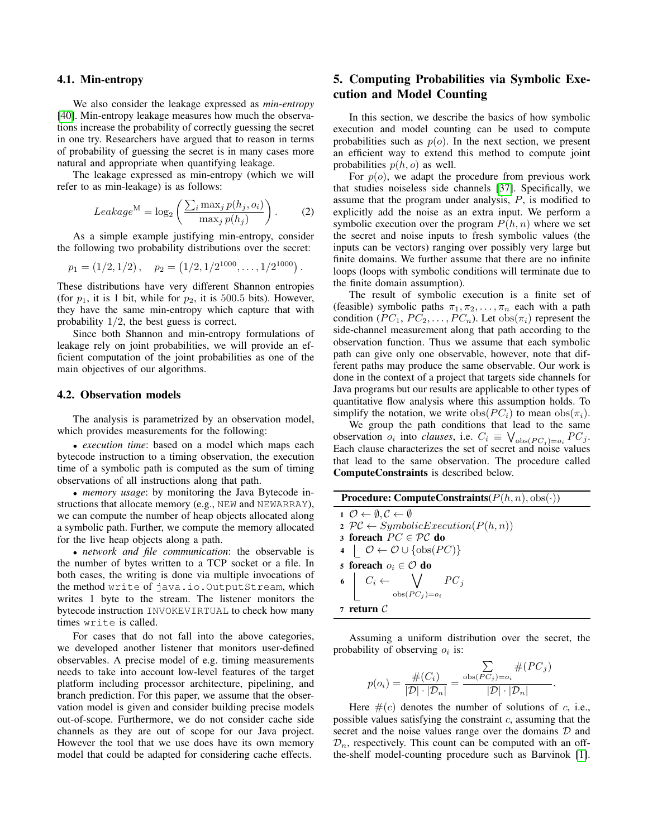### 4.1. Min-entropy

We also consider the leakage expressed as *min-entropy* [\[40\]](#page-14-14). Min-entropy leakage measures how much the observations increase the probability of correctly guessing the secret in one try. Researchers have argued that to reason in terms of probability of guessing the secret is in many cases more natural and appropriate when quantifying leakage.

The leakage expressed as min-entropy (which we will refer to as min-leakage) is as follows:

<span id="page-3-1"></span>
$$
Leakage^{\mathcal{M}} = \log_2\left(\frac{\sum_i \max_j p(h_j, o_i)}{\max_j p(h_j)}\right). \tag{2}
$$

.

As a simple example justifying min-entropy, consider the following two probability distributions over the secret:

$$
p_1 = (1/2, 1/2), \quad p_2 = (1/2, 1/2^{1000}, \dots, 1/2^{1000})
$$

These distributions have very different Shannon entropies (for  $p_1$ , it is 1 bit, while for  $p_2$ , it is 500.5 bits). However, they have the same min-entropy which capture that with probability 1/2, the best guess is correct.

Since both Shannon and min-entropy formulations of leakage rely on joint probabilities, we will provide an efficient computation of the joint probabilities as one of the main objectives of our algorithms.

### 4.2. Observation models

The analysis is parametrized by an observation model, which provides measurements for the following:

• *execution time*: based on a model which maps each bytecode instruction to a timing observation, the execution time of a symbolic path is computed as the sum of timing observations of all instructions along that path.

• *memory usage*: by monitoring the Java Bytecode instructions that allocate memory (e.g., NEW and NEWARRAY), we can compute the number of heap objects allocated along a symbolic path. Further, we compute the memory allocated for the live heap objects along a path.

• *network and file communication*: the observable is the number of bytes written to a TCP socket or a file. In both cases, the writing is done via multiple invocations of the method write of java.io.OutputStream, which writes 1 byte to the stream. The listener monitors the bytecode instruction INVOKEVIRTUAL to check how many times write is called.

For cases that do not fall into the above categories, we developed another listener that monitors user-defined observables. A precise model of e.g. timing measurements needs to take into account low-level features of the target platform including processor architecture, pipelining, and branch prediction. For this paper, we assume that the observation model is given and consider building precise models out-of-scope. Furthermore, we do not consider cache side channels as they are out of scope for our Java project. However the tool that we use does have its own memory model that could be adapted for considering cache effects.

# <span id="page-3-0"></span>5. Computing Probabilities via Symbolic Execution and Model Counting

In this section, we describe the basics of how symbolic execution and model counting can be used to compute probabilities such as  $p(o)$ . In the next section, we present an efficient way to extend this method to compute joint probabilities  $p(h, o)$  as well.

For  $p(o)$ , we adapt the procedure from previous work that studies noiseless side channels [\[37\]](#page-14-15). Specifically, we assume that the program under analysis, P, is modified to explicitly add the noise as an extra input. We perform a symbolic execution over the program  $P(h, n)$  where we set the secret and noise inputs to fresh symbolic values (the inputs can be vectors) ranging over possibly very large but finite domains. We further assume that there are no infinite loops (loops with symbolic conditions will terminate due to the finite domain assumption).

The result of symbolic execution is a finite set of (feasible) symbolic paths  $\pi_1, \pi_2, \ldots, \pi_n$  each with a path condition  $(PC_1, PC_2, \ldots, PC_n)$ . Let  $obs(\pi_i)$  represent the side-channel measurement along that path according to the observation function. Thus we assume that each symbolic path can give only one observable, however, note that different paths may produce the same observable. Our work is done in the context of a project that targets side channels for Java programs but our results are applicable to other types of quantitative flow analysis where this assumption holds. To simplify the notation, we write  $obs(P C_i)$  to mean  $obs(\pi_i)$ .

We group the path conditions that lead to the same observation  $o_i$  into *clauses*, i.e.  $C_i \equiv \bigvee_{\text{obs}(PC_j) = o_i} PC_j$ . Each clause characterizes the set of secret and noise values that lead to the same observation. The procedure called ComputeConstraints is described below.

| <b>Procedure: ComputeConstraints</b> $(P(h, n), \text{obs}(\cdot))$    |
|------------------------------------------------------------------------|
| $1 \mathcal{O} \leftarrow \emptyset, \mathcal{C} \leftarrow \emptyset$ |
| 2 $\mathcal{PC} \leftarrow SymbolicExecution(P(h,n))$                  |
| 3 foreach $PC \in \mathcal{PC}$ do                                     |
| 4   $\mathcal{O} \leftarrow \mathcal{O} \cup \{obs(PC)\}\$             |
| 5 foreach $o_i \in \mathcal{O}$ do                                     |
| 6 $C_i \leftarrow \bigvee_{\text{obs}(PC_j) = o_i} PC_j$               |
|                                                                        |
| 7 return $\mathcal C$                                                  |

Assuming a uniform distribution over the secret, the probability of observing  $o_i$  is:

$$
p(o_i) = \frac{\#(C_i)}{|\mathcal{D}| \cdot |\mathcal{D}_n|} = \frac{\sum\limits_{\text{obs}(PC_j) = o_i} \#(PC_j)}{|\mathcal{D}| \cdot |\mathcal{D}_n|}.
$$

Here  $#(c)$  denotes the number of solutions of c, i.e., possible values satisfying the constraint  $c$ , assuming that the secret and the noise values range over the domains  $D$  and  $\mathcal{D}_n$ , respectively. This count can be computed with an offthe-shelf model-counting procedure such as Barvinok [\[1\]](#page-13-0).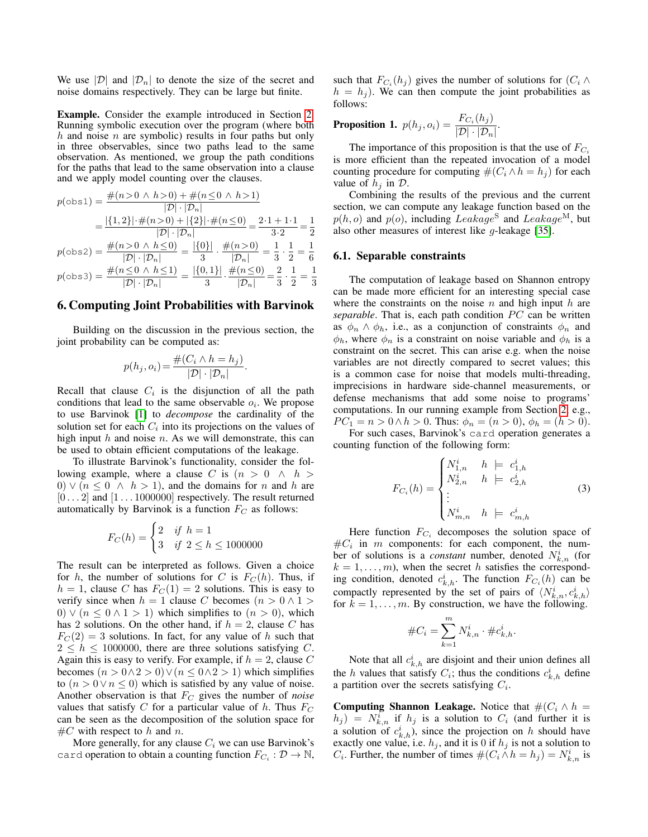We use  $|\mathcal{D}|$  and  $|\mathcal{D}_n|$  to denote the size of the secret and noise domains respectively. They can be large but finite.

Example. Consider the example introduced in Section [2.](#page-1-1) Running symbolic execution over the program (where both h and noise n are symbolic) results in four paths but only in three observables, since two paths lead to the same observation. As mentioned, we group the path conditions for the paths that lead to the same observation into a clause and we apply model counting over the clauses.

$$
p(\text{obs1}) = \frac{\#(n > 0 \land h > 0) + \#(n \le 0 \land h > 1)}{|\mathcal{D}| \cdot |\mathcal{D}_n|}
$$
\n
$$
= \frac{|\{1, 2\}| \cdot \#(n > 0) + |\{2\}| \cdot \#(n \le 0)}{|\mathcal{D}| \cdot |\mathcal{D}_n|} = \frac{2 \cdot 1 + 1 \cdot 1}{3 \cdot 2} = \frac{1}{2}
$$
\n
$$
p(\text{obs2}) = \frac{\#(n > 0 \land h \le 0)}{|\mathcal{D}| \cdot |\mathcal{D}_n|} = \frac{|\{0\}|}{3} \cdot \frac{\#(n > 0)}{|\mathcal{D}_n|} = \frac{1}{3} \cdot \frac{1}{2} = \frac{1}{6}
$$
\n
$$
p(\text{obs3}) = \frac{\#(n \le 0 \land h \le 1)}{|\mathcal{D}| \cdot |\mathcal{D}_n|} = \frac{|\{0, 1\}|}{3} \cdot \frac{\#(n \le 0)}{|\mathcal{D}_n|} = \frac{2}{3} \cdot \frac{1}{2} = \frac{1}{3}
$$

### <span id="page-4-0"></span>6. Computing Joint Probabilities with Barvinok

Building on the discussion in the previous section, the joint probability can be computed as:

$$
p(h_j, o_i) = \frac{\#(C_i \land h = h_j)}{|\mathcal{D}| \cdot |\mathcal{D}_n|}.
$$

Recall that clause  $C_i$  is the disjunction of all the path conditions that lead to the same observable  $o_i$ . We propose to use Barvinok [\[1\]](#page-13-0) to *decompose* the cardinality of the solution set for each  $C_i$  into its projections on the values of high input  $h$  and noise  $n$ . As we will demonstrate, this can be used to obtain efficient computations of the leakage.

To illustrate Barvinok's functionality, consider the following example, where a clause C is  $(n > 0 \land h >$ 0)  $\vee$  ( $n \leq 0 \land h > 1$ ), and the domains for n and h are  $[0 \dots 2]$  and  $[1 \dots 1000000]$  respectively. The result returned automatically by Barvinok is a function  $F_C$  as follows:

$$
F_C(h) = \begin{cases} 2 & \text{if } h = 1 \\ 3 & \text{if } 2 \le h \le 1000000 \end{cases}
$$

The result can be interpreted as follows. Given a choice for h, the number of solutions for C is  $F_C(h)$ . Thus, if  $h = 1$ , clause C has  $F<sub>C</sub>(1) = 2$  solutions. This is easy to verify since when  $h = 1$  clause C becomes  $(n > 0 \land 1 >$ 0)  $\vee$   $(n \leq 0 \land 1 > 1)$  which simplifies to  $(n > 0)$ , which has 2 solutions. On the other hand, if  $h = 2$ , clause C has  $F_C(2) = 3$  solutions. In fact, for any value of h such that  $2 \leq h \leq 1000000$ , there are three solutions satisfying C. Again this is easy to verify. For example, if  $h = 2$ , clause C becomes  $(n > 0 \land 2 > 0) \lor (n < 0 \land 2 > 1)$  which simplifies to  $(n > 0 \lor n \leq 0)$  which is satisfied by any value of noise. Another observation is that  $F_C$  gives the number of *noise* values that satisfy C for a particular value of h. Thus  $F_C$ can be seen as the decomposition of the solution space for  $\#C$  with respect to h and n.

More generally, for any clause  $C_i$  we can use Barvinok's card operation to obtain a counting function  $F_{C_i} : \mathcal{D} \to \mathbb{N}$ ,

such that  $F_{C_i}(h_j)$  gives the number of solutions for  $(C_i \wedge$  $h = h<sub>j</sub>$ ). We can then compute the joint probabilities as follows:

**Proposition 1.** 
$$
p(h_j, o_i) = \frac{F_{C_i}(h_j)}{|\mathcal{D}| \cdot |\mathcal{D}_n|}.
$$

The importance of this proposition is that the use of  $F_{C_i}$ is more efficient than the repeated invocation of a model counting procedure for computing  $\#(C_i \wedge h = h_i)$  for each value of  $h_i$  in  $\mathcal{D}$ .

Combining the results of the previous and the current section, we can compute any leakage function based on the  $p(h, o)$  and  $p(o)$ , including Leakage<sup>S</sup> and Leakage<sup>M</sup>, but also other measures of interest like g-leakage [\[35\]](#page-14-16).

#### 6.1. Separable constraints

The computation of leakage based on Shannon entropy can be made more efficient for an interesting special case where the constraints on the noise  $n$  and high input  $h$  are *separable*. That is, each path condition PC can be written as  $\phi_n \wedge \phi_h$ , i.e., as a conjunction of constraints  $\phi_n$  and  $\phi_h$ , where  $\phi_n$  is a constraint on noise variable and  $\phi_h$  is a constraint on the secret. This can arise e.g. when the noise variables are not directly compared to secret values; this is a common case for noise that models multi-threading, imprecisions in hardware side-channel measurements, or defense mechanisms that add some noise to programs' computations. In our running example from Section [2,](#page-1-1) e.g.,  $PC_1 = n > 0 \land h > 0$ . Thus:  $\phi_n = (n > 0), \phi_h = (h > 0)$ .

For such cases, Barvinok's card operation generates a counting function of the following form:

<span id="page-4-1"></span>
$$
F_{C_i}(h) = \begin{cases} N_{1,n}^i & h \models c_{1,h}^i \\ N_{2,n}^i & h \models c_{2,h}^i \\ \vdots & \\ N_{m,n}^i & h \models c_{m,h}^i \end{cases}
$$
 (3)

Here function  $F_{C_i}$  decomposes the solution space of  $\#C_i$  in m components: for each component, the number of solutions is a *constant* number, denoted  $N_{k,n}^i$  (for  $k = 1, \ldots, m$ , when the secret h satisfies the corresponding condition, denoted  $c_{k,h}^i$ . The function  $F_{C_i}(h)$  can be compactly represented by the set of pairs of  $\langle N_{k,n}^i, c_{k,h}^i \rangle$ for  $k = 1, \ldots, m$ . By construction, we have the following.

$$
\#C_i = \sum_{k=1}^m N_{k,n}^i \cdot \#c_{k,h}^i.
$$

Note that all  $c_{k,h}^i$  are disjoint and their union defines all the h values that satisfy  $C_i$ ; thus the conditions  $c_{k,h}^i$  define a partition over the secrets satisfying  $C_i$ .

**Computing Shannon Leakage.** Notice that  $\#(C_i \wedge h)$  $h_j$ ) =  $N_{k,n}$  if  $h_j$  is a solution to  $C_i$  (and further it is a solution of  $c_{k,h}^i$ ), since the projection on h should have exactly one value, i.e.  $h_j$ , and it is 0 if  $h_j$  is not a solution to  $C_i$ . Further, the number of times  $\#(C_i \wedge h = h_j) = N_{k,n}^i$  is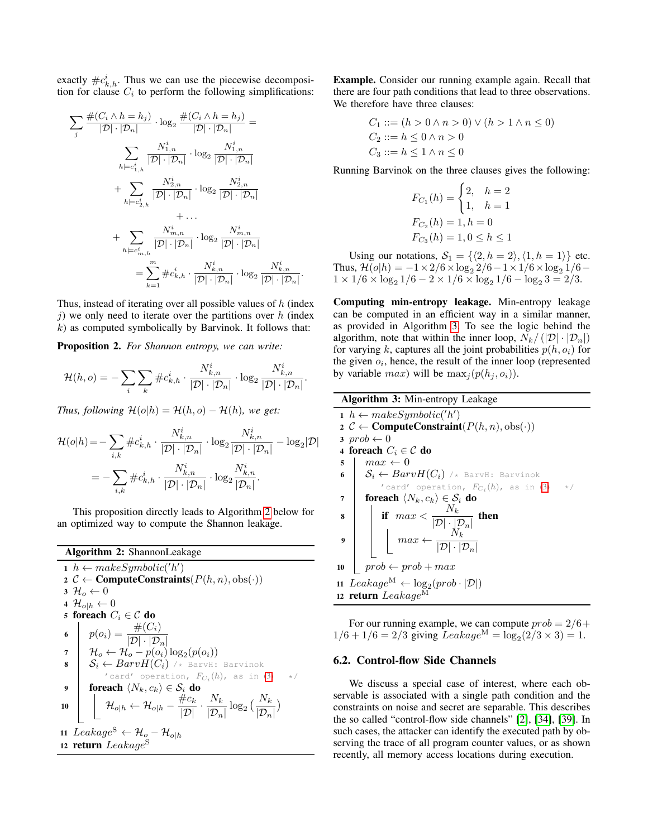exactly  $\#c_{k,h}^i$ . Thus we can use the piecewise decomposition for clause  $C_i$  to perform the following simplifications:

$$
\sum_{j} \frac{\#(C_{i} \wedge h = h_{j})}{|\mathcal{D}| \cdot |\mathcal{D}_{n}|} \cdot \log_{2} \frac{\#(C_{i} \wedge h = h_{j})}{|\mathcal{D}| \cdot |\mathcal{D}_{n}|} =
$$
\n
$$
\sum_{h \models c_{1,h}^{i}} \frac{N_{1,n}^{i}}{|\mathcal{D}| \cdot |\mathcal{D}_{n}|} \cdot \log_{2} \frac{N_{1,n}^{i}}{|\mathcal{D}| \cdot |\mathcal{D}_{n}|}
$$
\n
$$
+ \sum_{h \models c_{2,h}^{i}} \frac{N_{2,n}^{i}}{|\mathcal{D}| \cdot |\mathcal{D}_{n}|} \cdot \log_{2} \frac{N_{2,n}^{i}}{|\mathcal{D}| \cdot |\mathcal{D}_{n}|}
$$
\n
$$
+ \dots
$$
\n
$$
+ \sum_{h \models c_{m,h}^{i}} \frac{N_{m,n}^{i}}{|\mathcal{D}| \cdot |\mathcal{D}_{n}|} \cdot \log_{2} \frac{N_{m,n}^{i}}{|\mathcal{D}| \cdot |\mathcal{D}_{n}|}
$$
\n
$$
= \sum_{k=1}^{m} \#c_{k,h}^{i} \cdot \frac{N_{k,n}^{i}}{|\mathcal{D}| \cdot |\mathcal{D}_{n}|} \cdot \log_{2} \frac{N_{k,n}^{i}}{|\mathcal{D}| \cdot |\mathcal{D}_{n}|}.
$$

Thus, instead of iterating over all possible values of  $h$  (index j) we only need to iterate over the partitions over  $h$  (index  $k$ ) as computed symbolically by Barvinok. It follows that:

Proposition 2. *For Shannon entropy, we can write:*

$$
\mathcal{H}(h, o) = -\sum_{i} \sum_{k} \#c_{k,h}^{i} \cdot \frac{N_{k,n}^{i}}{|\mathcal{D}| \cdot |\mathcal{D}_n|} \cdot \log_2 \frac{N_{k,n}^{i}}{|\mathcal{D}| \cdot |\mathcal{D}_n|}.
$$

*Thus, following*  $\mathcal{H}(o|h) = \mathcal{H}(h,o) - \mathcal{H}(h)$ *, we get:* 

$$
\mathcal{H}(o|h) = -\sum_{i,k} \#c_{k,h}^i \cdot \frac{N_{k,n}^i}{|\mathcal{D}| \cdot |\mathcal{D}_n|} \cdot \log_2 \frac{N_{k,n}^i}{|\mathcal{D}| \cdot |\mathcal{D}_n|} - \log_2 |\mathcal{D}|
$$

$$
= -\sum_{i,k} \#c_{k,h}^i \cdot \frac{N_{k,n}^i}{|\mathcal{D}| \cdot |\mathcal{D}_n|} \cdot \log_2 \frac{N_{k,n}^i}{|\mathcal{D}_n|}.
$$

This proposition directly leads to Algorithm [2](#page-5-0) below for an optimized way to compute the Shannon leakage.

<span id="page-5-0"></span>Algorithm 2: ShannonLeakage  $1 \ h \leftarrow makeSymbolic('h')$ 2 C ← ComputeConstraints $(P(h, n), \text{obs}(\cdot))$  $3 \mathcal{H}_o \leftarrow 0$ 4  $\mathcal{H}_{o|h} \leftarrow 0$ 5 foreach  $C_i \in \mathcal{C}$  do 6  $p(o_i) = \frac{\#(C_i)}{|\mathcal{D}| \cdot |\mathcal{D}|}$  $|\mathcal{D}| \cdot |\mathcal{D}_n|$  $7 \mid \mathcal{H}_o \leftarrow \mathcal{H}_o - p(o_i) \log_2(p(o_i))$  $\begin{aligned} \mathbf{8} \quad | \quad \mathcal{S}_i \leftarrow BarvH(C_i) \, \; \textcolor{black}{\text{#} \; \; \text{BarvH:} \; \; \text{Barvinok} } \end{aligned}$ 'card' operation,  $F_{C_i}(h)$ , as in [\(3\)](#page-4-1)  $\rightarrow$  / 9 foreach  $\langle N_k, c_k \rangle \in \mathcal{S}_i$  do 10  $\parallel$   $\mathcal{H}_{o|h} \leftarrow \mathcal{H}_{o|h}$  –  $\#c_k$  $\overline{|\mathcal{D}|}$  .  $N_k$  $|\nu_n|$  $\log_2\left(\frac{N_k}{\sqrt{D}}\right)$  $|\nu_n|$  $\mathcal{L}$ 11 Leakage<sup>S</sup> ←  $\mathcal{H}_o - \mathcal{H}_{o|h}$ 12 return  $Leakaqe^{\text{S}}$ 

Example. Consider our running example again. Recall that there are four path conditions that lead to three observations. We therefore have three clauses:

$$
C_1 ::= (h > 0 \land n > 0) \lor (h > 1 \land n \le 0)
$$
  
\n
$$
C_2 ::= h \le 0 \land n > 0
$$
  
\n
$$
C_3 ::= h \le 1 \land n \le 0
$$

Running Barvinok on the three clauses gives the following:

$$
F_{C_1}(h) = \begin{cases} 2, & h = 2 \\ 1, & h = 1 \end{cases}
$$

$$
F_{C_2}(h) = 1, h = 0
$$

$$
F_{C_3}(h) = 1, 0 \le h \le 1
$$

Using our notations,  $S_1 = \{ \langle 2, h = 2 \rangle, \langle 1, h = 1 \rangle \}$  etc. Thus,  $\mathcal{H}(o|h) = -1 \times 2/6 \times \log_2 2/6 - 1 \times 1/6 \times \log_2 1/6 1 \times 1/6 \times \log_2 1/6 - 2 \times 1/6 \times \log_2 1/6 - \log_2 3 = 2/3.$ 

Computing min-entropy leakage. Min-entropy leakage can be computed in an efficient way in a similar manner, as provided in Algorithm [3.](#page-5-1) To see the logic behind the algorithm, note that within the inner loop,  $N_k/(|\mathcal{D}| \cdot |\mathcal{D}_n|)$ for varying k, captures all the joint probabilities  $p(h, o_i)$  for the given  $o_i$ , hence, the result of the inner loop (represented by variable max) will be  $\max_i (p(h_i, o_i))$ .

|                  | <b>Algorithm 3: Min-entropy Leakage</b>                                                                                                     |
|------------------|---------------------------------------------------------------------------------------------------------------------------------------------|
|                  | $1 \; h \leftarrow makeSymbolic('h')$                                                                                                       |
|                  | 2 C $\leftarrow$ ComputeConstraint( $P(h, n), obs(\cdot)$ )                                                                                 |
|                  | $3 \text{ prob} \leftarrow 0$                                                                                                               |
|                  | 4 foreach $C_i \in \mathcal{C}$ do                                                                                                          |
| 5                | $max \leftarrow 0$                                                                                                                          |
| 6                | $\mathcal{S}_i \leftarrow BarvH(C_i)$ /* BarvH: Barvinok                                                                                    |
|                  | 'card' operation, $F_{C_i}(h)$ , as in (3) */                                                                                               |
| 7                | foreach $\langle N_k, c_k \rangle \in \mathcal{S}_i$ do                                                                                     |
| 8                |                                                                                                                                             |
|                  | if $\max < \frac{N_k}{ \mathcal{D}  \cdot  \mathcal{D}_n }$ then<br>$\Big  \max \leftarrow \frac{N_k}{ \mathcal{D}  \cdot  \mathcal{D}_n }$ |
| $\boldsymbol{9}$ |                                                                                                                                             |
|                  |                                                                                                                                             |
| 10               | $prob \leftarrow prob + max$                                                                                                                |
|                  |                                                                                                                                             |
|                  | 11 Leakage <sup>M</sup> $\leftarrow$ log <sub>2</sub> (prob $\cdot$  D )                                                                    |
|                  | 12 return $Leakage^M$                                                                                                                       |

<span id="page-5-1"></span>For our running example, we can compute  $prob = 2/6+$  $1/6 + 1/6 = 2/3$  giving  $Leakage^M = \log_2(2/3 \times 3) = 1$ .

### 6.2. Control-flow Side Channels

We discuss a special case of interest, where each observable is associated with a single path condition and the constraints on noise and secret are separable. This describes the so called "control-flow side channels" [\[2\]](#page-13-1), [\[34\]](#page-14-17), [\[39\]](#page-14-18). In such cases, the attacker can identify the executed path by observing the trace of all program counter values, or as shown recently, all memory access locations during execution.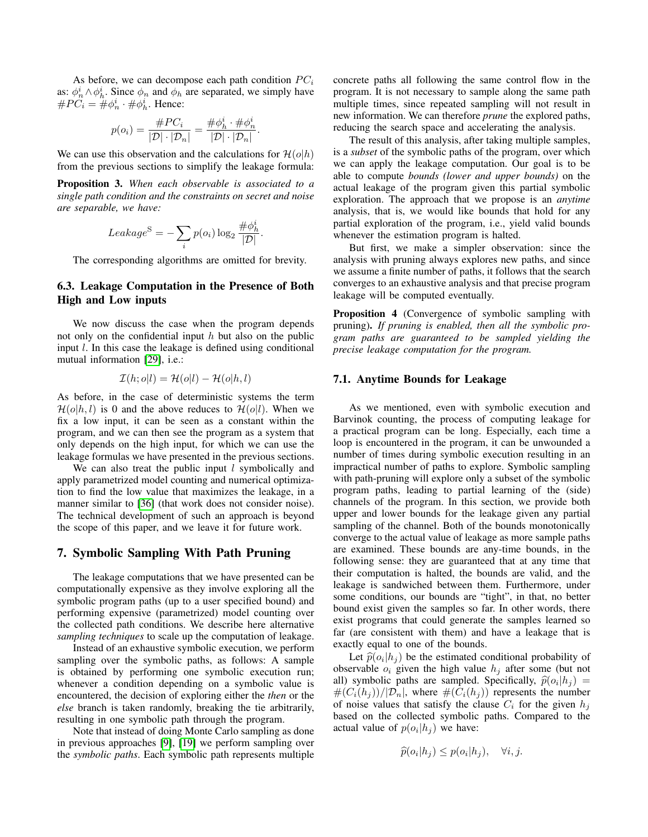As before, we can decompose each path condition  $PC_i$ as:  $\phi_n^i \wedge \phi_h^i$ . Since  $\phi_n$  and  $\phi_h$  are separated, we simply have  $\#P\ddot{C}_i = \# \phi_n^i \cdot \# \phi_h^i$ . Hence:

$$
p(o_i) = \frac{\#PC_i}{|\mathcal{D}| \cdot |\mathcal{D}_n|} = \frac{\#\phi^i_h \cdot \#\phi^i_n}{|\mathcal{D}| \cdot |\mathcal{D}_n|}.
$$

We can use this observation and the calculations for  $\mathcal{H}(o|h)$ from the previous sections to simplify the leakage formula:

Proposition 3. *When each observable is associated to a single path condition and the constraints on secret and noise are separable, we have:*

$$
Leakage^{\mathcal{S}} = -\sum_{i} p(o_i) \log_2 \frac{\#\phi_h^i}{|\mathcal{D}|}.
$$

The corresponding algorithms are omitted for brevity.

# <span id="page-6-1"></span>6.3. Leakage Computation in the Presence of Both High and Low inputs

We now discuss the case when the program depends not only on the confidential input  $h$  but also on the public input l. In this case the leakage is defined using conditional mutual information [\[29\]](#page-14-12), i.e.:

$$
\mathcal{I}(h; o|l) = \mathcal{H}(o|l) - \mathcal{H}(o|h, l)
$$

As before, in the case of deterministic systems the term  $\mathcal{H}(o|h, l)$  is 0 and the above reduces to  $\mathcal{H}(o|l)$ . When we fix a low input, it can be seen as a constant within the program, and we can then see the program as a system that only depends on the high input, for which we can use the leakage formulas we have presented in the previous sections.

We can also treat the public input  $l$  symbolically and apply parametrized model counting and numerical optimization to find the low value that maximizes the leakage, in a manner similar to [\[36\]](#page-14-19) (that work does not consider noise). The technical development of such an approach is beyond the scope of this paper, and we leave it for future work.

# <span id="page-6-0"></span>7. Symbolic Sampling With Path Pruning

The leakage computations that we have presented can be computationally expensive as they involve exploring all the symbolic program paths (up to a user specified bound) and performing expensive (parametrized) model counting over the collected path conditions. We describe here alternative *sampling techniques* to scale up the computation of leakage.

Instead of an exhaustive symbolic execution, we perform sampling over the symbolic paths, as follows: A sample is obtained by performing one symbolic execution run; whenever a condition depending on a symbolic value is encountered, the decision of exploring either the *then* or the *else* branch is taken randomly, breaking the tie arbitrarily, resulting in one symbolic path through the program.

Note that instead of doing Monte Carlo sampling as done in previous approaches [\[9\]](#page-14-6), [\[19\]](#page-14-20) we perform sampling over the *symbolic paths*. Each symbolic path represents multiple concrete paths all following the same control flow in the program. It is not necessary to sample along the same path multiple times, since repeated sampling will not result in new information. We can therefore *prune* the explored paths, reducing the search space and accelerating the analysis.

The result of this analysis, after taking multiple samples, is a *subset* of the symbolic paths of the program, over which we can apply the leakage computation. Our goal is to be able to compute *bounds (lower and upper bounds)* on the actual leakage of the program given this partial symbolic exploration. The approach that we propose is an *anytime* analysis, that is, we would like bounds that hold for any partial exploration of the program, i.e., yield valid bounds whenever the estimation program is halted.

But first, we make a simpler observation: since the analysis with pruning always explores new paths, and since we assume a finite number of paths, it follows that the search converges to an exhaustive analysis and that precise program leakage will be computed eventually.

Proposition 4 (Convergence of symbolic sampling with pruning). *If pruning is enabled, then all the symbolic program paths are guaranteed to be sampled yielding the precise leakage computation for the program.*

### 7.1. Anytime Bounds for Leakage

As we mentioned, even with symbolic execution and Barvinok counting, the process of computing leakage for a practical program can be long. Especially, each time a loop is encountered in the program, it can be unwounded a number of times during symbolic execution resulting in an impractical number of paths to explore. Symbolic sampling with path-pruning will explore only a subset of the symbolic program paths, leading to partial learning of the (side) channels of the program. In this section, we provide both upper and lower bounds for the leakage given any partial sampling of the channel. Both of the bounds monotonically converge to the actual value of leakage as more sample paths are examined. These bounds are any-time bounds, in the following sense: they are guaranteed that at any time that their computation is halted, the bounds are valid, and the leakage is sandwiched between them. Furthermore, under some conditions, our bounds are "tight", in that, no better bound exist given the samples so far. In other words, there exist programs that could generate the samples learned so far (are consistent with them) and have a leakage that is exactly equal to one of the bounds.

Let  $\hat{p}(o_i|h_j)$  be the estimated conditional probability of ervable  $o_i$  given the high value  $b_i$  after some (but not observable  $o_i$  given the high value  $h_i$  after some (but not all) symbolic paths are sampled. Specifically,  $\hat{p}(o_i|h_j) =$ <br> $\#(C(h_i))/|\mathcal{D}|$  where  $\#(C(h_i))$  represents the number  $\#(C_i(h_i))/|\mathcal{D}_n|$ , where  $\#(C_i(h_i))$  represents the number of noise values that satisfy the clause  $C_i$  for the given  $h_i$ based on the collected symbolic paths. Compared to the actual value of  $p(o_i | h_j)$  we have:

$$
\widehat{p}(o_i|h_j) \leq p(o_i|h_j), \quad \forall i, j.
$$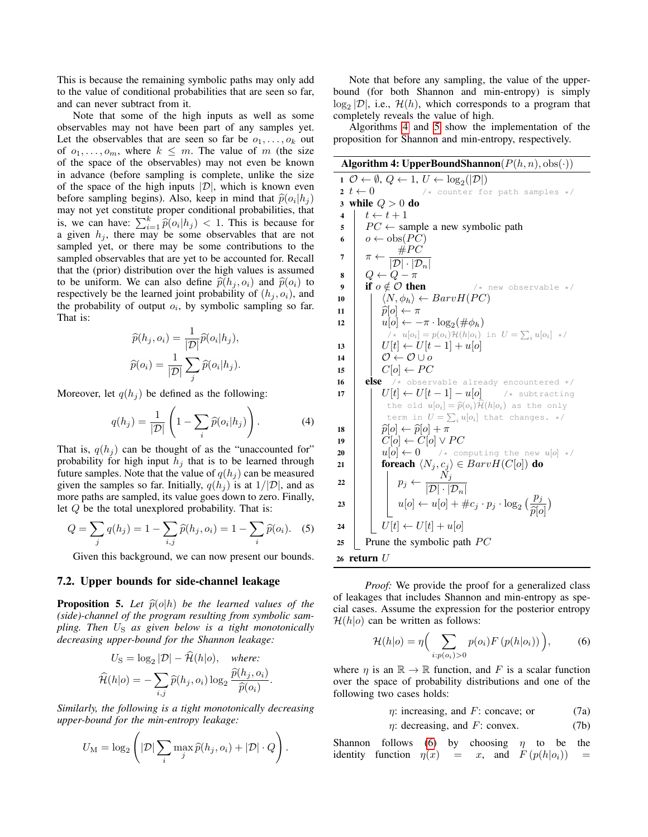This is because the remaining symbolic paths may only add to the value of conditional probabilities that are seen so far, and can never subtract from it.

Note that some of the high inputs as well as some observables may not have been part of any samples yet. Let the observables that are seen so far be  $o_1, \ldots, o_k$  out of  $o_1, \ldots, o_m$ , where  $k \leq m$ . The value of m (the size of the space of the observables) may not even be known in advance (before sampling is complete, unlike the size of the space of the high inputs  $|\mathcal{D}|$ , which is known even before sampling begins). Also, keep in mind that  $\hat{p}(o_i|h_j)$ <br>may not vet constitute proper conditional probabilities, that may not yet constitute proper conditional probabilities, that is, we can have:  $\sum_{i=1}^{k} \hat{p}(o_i|h_j) < 1$ . This is because for a given h<sub>is</sub> there may be some observables that are not a given  $h_i$ , there may be some observables that are not sampled yet, or there may be some contributions to the sampled observables that are yet to be accounted for. Recall that the (prior) distribution over the high values is assumed to be uniform. We can also define  $\hat{p}(h_i, o_i)$  and  $\hat{p}(o_i)$  to respectively be the learned joint probability of  $(h_j, o_i)$ , and the probability of output  $o_i$ , by symbolic sampling so far. That is:

$$
\widehat{p}(h_j, o_i) = \frac{1}{|\mathcal{D}|} \widehat{p}(o_i|h_j),
$$
  

$$
\widehat{p}(o_i) = \frac{1}{|\mathcal{D}|} \sum_j \widehat{p}(o_i|h_j).
$$

Moreover, let  $q(h_i)$  be defined as the following:

$$
q(h_j) = \frac{1}{|\mathcal{D}|} \left( 1 - \sum_i \widehat{p}(o_i|h_j) \right). \tag{4}
$$

That is,  $q(h_i)$  can be thought of as the "unaccounted for" probability for high input  $h_i$  that is to be learned through future samples. Note that the value of  $q(h_i)$  can be measured given the samples so far. Initially,  $q(h_i)$  is at  $1/|\mathcal{D}|$ , and as more paths are sampled, its value goes down to zero. Finally, let Q be the total unexplored probability. That is:

$$
Q = \sum_{j} q(h_j) = 1 - \sum_{i,j} \hat{p}(h_j, o_i) = 1 - \sum_{i} \hat{p}(o_i).
$$
 (5)

Given this background, we can now present our bounds.

#### 7.2. Upper bounds for side-channel leakage

<span id="page-7-4"></span>**Proposition 5.** Let  $\hat{p}(o|h)$  *be the learned values of the (side)-channel of the program resulting from symbolic sampling. Then* U<sup>S</sup> *as given below is a tight monotonically decreasing upper-bound for the Shannon leakage:*

$$
U_{\rm S} = \log_2 |D| - \mathcal{H}(h|o), \quad \text{where:}
$$

$$
\widehat{\mathcal{H}}(h|o) = -\sum_{i,j} \widehat{p}(h_j, o_i) \log_2 \frac{\widehat{p}(h_j, o_i)}{\widehat{p}(o_i)}.
$$

*Similarly, the following is a tight monotonically decreasing upper-bound for the min-entropy leakage:*

$$
U_{\rm M} = \log_2\left(|\mathcal{D}| \sum_i \max_j \widehat{p}(h_j, o_i) + |\mathcal{D}| \cdot Q\right).
$$

Note that before any sampling, the value of the upperbound (for both Shannon and min-entropy) is simply  $log_2 |D|$ , i.e.,  $\mathcal{H}(h)$ , which corresponds to a program that completely reveals the value of high.

Algorithms [4](#page-7-0) and [5](#page-8-0) show the implementation of the proposition for Shannon and min-entropy, respectively.

| Algorithm 4: UpperBoundShannon $(P(h,n),{\rm obs}(\cdot))$ |  |  |  |
|------------------------------------------------------------|--|--|--|
|                                                            |  |  |  |

 $1 \mathcal{O} \leftarrow \emptyset, Q \leftarrow 1, U \leftarrow \log_2(|\mathcal{D}|)$ 2  $t \leftarrow 0$  /\* counter for path samples \*/ 3 while  $Q > 0$  do  $\begin{array}{c|c} \n4 & t \leftarrow t + 1 \\
5 & PC \leftarrow \text{sa} \n\end{array}$  $\begin{array}{c|c} 5 & PC \leftarrow \text{sample a new symbolic path} \\ 6 & 0 \leftarrow \text{obs}(PC) \end{array}$  $o \leftarrow obs(PC)$ 7  $\pi \leftarrow \frac{\#PC}{|\mathcal{D}| \cdot |\mathcal{D}|}$  $|\mathcal{D}| \cdot |\mathcal{D}_n|$ 8  $Q \leftarrow Q - \pi$ <br>9 if  $o \notin \mathcal{O}$  then **9** if  $o \notin \mathcal{O}$  then  $/$ \* new observable \*/<br> **10**  $\langle N, \phi_h \rangle \leftarrow BaryH(PC)$ 10  $\left\{\n \begin{array}{c}\n \langle N, \phi_h \rangle \leftarrow BarvH(PC) \\
 \widehat{p}[o] \leftarrow \pi\n \end{array}\n\right.$ 11  $\hat{p}[o] \leftarrow \pi$ <br>12  $u[o] \leftarrow -$ 12  $|u[o] \leftarrow -\pi \cdot \log_2(\#\phi_h)$ /\*  $u[o_i] = p(o_i) \mathcal{H}(h|o_i)$  in  $U = \sum_i u[o_i]$  \*/ 13  $U[t] \leftarrow U[t-1] + u[o]$ <br>
14  $O \leftarrow O \cup o$ 14  $\begin{array}{|c|c|c|c|}\n\hline\n15 & C & \n\hline\n0 & \leftarrow & \n\end{array}$ 15  $\begin{array}{|c|c|c|c|c|}\n\hline\n16 & else & \rightarrow & \text{obserr} \n\end{array}$ **else** /\* observable already encountered \*/ 17  $|U[t] \leftarrow U[t-1] - u[o]$  /\* subtracting the old  $u[o_i] = \widehat{p}(o_i)\widehat{\mathcal{H}}(h|o_i)$  as the only term in  $U = \sum_i u[o_i]$  that changes. \*/ 18  $\begin{array}{|c|c|c|c|}\n\hline\n19 & \hat{p}[o] \leftarrow \widehat{p}[o] + \pi \\
\hline\nC[o] \leftarrow C[o] \vee\n\end{array}$ 19  $\begin{array}{|c|c|c|c|c|}\n\hline\n19 & C[o] \leftarrow C[o] \vee PC \\
\hline\n20 & u[o] \leftarrow 0 & \angle \times \text{COT} \\
\hline\n\end{array}$ 20  $u[o] \leftarrow 0$  /\* computing the new  $u[o] \leftarrow 21$ <br>21 **foreach**  $\langle N_i, c_i \rangle \in BarvH(C[o])$  **do** 21 **c** for each  $\langle N_j, c_j \rangle \in BarvH(C[o])$  do 22  $\Big|\Big| p_j \leftarrow \frac{N_j}{|\mathcal{D}| |\cdot|^2}$  $|\nu| \cdot |\nu_n|$ 23  $u[o] \leftarrow u[o] + \#c_j \cdot p_j \cdot \log_2\left(\frac{p_j}{\hat{p}_j}\right)$  $\widehat{p}[o]$  $\big)$ 24 |  $U[t] \leftarrow U[t] + u[o]$ 25 Prune the symbolic path  $PC$ <sup>26</sup> return U

<span id="page-7-6"></span><span id="page-7-5"></span><span id="page-7-0"></span>*Proof:* We provide the proof for a generalized class of leakages that includes Shannon and min-entropy as special cases. Assume the expression for the posterior entropy  $\mathcal{H}(h|o)$  can be written as follows:

<span id="page-7-1"></span>
$$
\mathcal{H}(h|o) = \eta \Big( \sum_{i:p(o_i)>0} p(o_i) F\left(p(h|o_i)\right) \Big),\tag{6}
$$

where  $\eta$  is an  $\mathbb{R} \to \mathbb{R}$  function, and F is a scalar function over the space of probability distributions and one of the following two cases holds:

<span id="page-7-3"></span><span id="page-7-2"></span>
$$
\eta
$$
: increasing, and *F*: concave; or (7a)

 $\eta$ : decreasing, and F: convex. (7b)

Shannon follows [\(6\)](#page-7-1) by choosing  $\eta$  to be the identity function  $\eta(x) = x$ , and  $F(p(h|o_i)) =$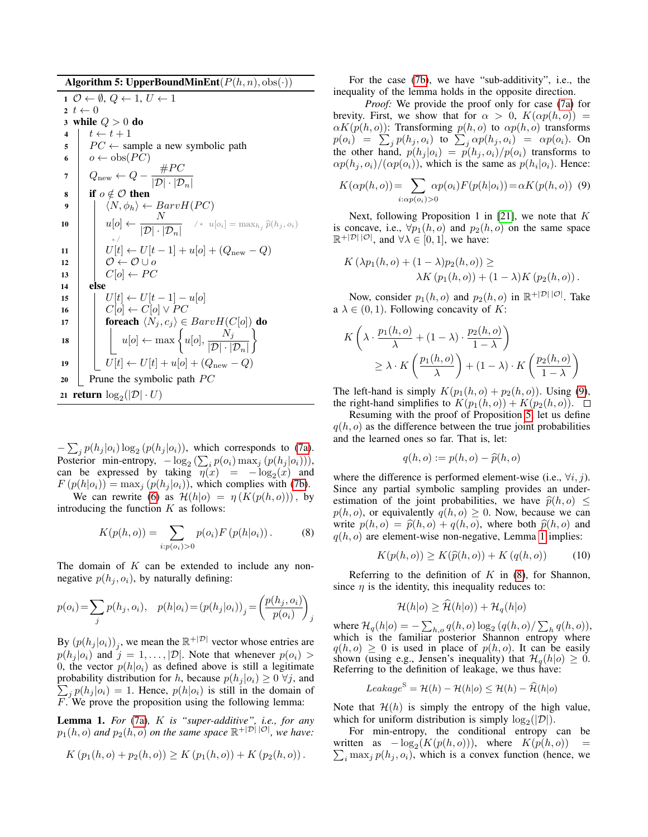Algorithm 5: UpperBoundMinEnt $(P(h, n), \text{obs}(\cdot))$ 

 $1 \mathcal{O} \leftarrow \emptyset$ ,  $Q \leftarrow 1$ ,  $U \leftarrow 1$ 2  $t \leftarrow 0$ 3 while  $Q > 0$  do  $\begin{array}{c|c} 4 & t \leftarrow t + 1 \\ 5 & PC \leftarrow \text{sa} \end{array}$  $\begin{array}{c|c}\n5 & PC \leftarrow \text{sample a new symbolic path} \\
6 & 0 \leftarrow \text{obs}(PC)\n\end{array}$  $o \leftarrow obs(PC)$  $7 \left| Q_{\text{new}} \leftarrow Q - \frac{\#PC}{|\mathcal{D}| \cdot |\mathcal{D}|}$  $|D| \cdot |D_n|$ 8 if  $o \notin O$  then<br>9  $\downarrow \langle N, \phi_h \rangle \leftarrow$  $\langle N, \phi_h \rangle \leftarrow BarvH(PC)$ 10  $u[o] \leftarrow \frac{N}{|\mathcal{D}| \cdot |}$  $|\nu| \cdot |\nu_n|$  $/ * u[o_i] = \max_{h_j} \widehat{p}(h_j, o_i)$ \*/ 11  $\left| U[t] \leftarrow U[t-1] + u[o] + (Q_{\text{new}} - Q)$  $\begin{array}{c|c} \n\mathbf{12} & \mathcal{O} \leftarrow \mathcal{O} \cup \mathcal{O} \\
\hline\n\mathbf{13} & \mathcal{O} \leftarrow \mathcal{O} \cup \mathcal{O} \\
\hline\n\mathcal{O}[\mathcal{O}] \leftarrow \mathcal{P}C\n\end{array}$ 13  $\begin{array}{|c|c|c|c|c|}\n\hline\n & \text{else}\n\end{array}$  C[o]  $\leftarrow PC$ else 15  $\begin{array}{|c|c|c|c|c|} \hline 15 & U[t] & U[t-1] - u[o] \ \hline 16 & C[o] & C[o] & PC \ \hline \end{array}$ 16  $\begin{array}{|c|c|c|c|c|}\n\hline\n & & C[o] \leftarrow C[o] \vee PC \\
\hline\n\textbf{17} & \textbf{foreach} \langle N_i, c_i \rangle \in\n\end{array}$ foreach  $\langle N_j, c_j \rangle \in BarvH(C[o])$  do 18  $u[o] \leftarrow \max\left\{u[o], \frac{N_j}{|\mathcal{D}| \cdot |^2}\right\}$  $|\mathcal{D}| \cdot |\mathcal{D}_n|$ <u>)</u> 19  $|U[t] \leftarrow U[t] + u[o] + (Q_{\text{new}} - Q)$ 20 Prune the symbolic path  $PC$ 21 **return**  $\log_2(|\mathcal{D}| \cdot U)$ 

<span id="page-8-0"></span> $-\sum_j p(h_j|o_i) \log_2 (p(h_j|o_i))$ , which corresponds to [\(7a\)](#page-7-2). Posterior min-entropy,  $-\log_2(\sum_i p(o_i) \max_j (p(h_j|o_i))),$ can be expressed by taking  $\eta(x) = -\log_2(x)$  and  $F(p(h|o_i)) = \max_i (p(h_i|o_i))$ , which complies with [\(7b\)](#page-7-3).

We can rewrite [\(6\)](#page-7-1) as  $\mathcal{H}(h|o) = \eta(K(p(h, o)))$ , by introducing the function  $K$  as follows:

<span id="page-8-3"></span>
$$
K(p(h, o)) = \sum_{i: p(o_i) > 0} p(o_i) F(p(h|o_i)).
$$
 (8)

The domain of  $K$  can be extended to include any nonnegative  $p(h_i, o_i)$ , by naturally defining:

$$
p(o_i) = \sum_j p(h_j, o_i), \quad p(h|o_i) = (p(h_j|o_i))_j = \left(\frac{p(h_j, o_i)}{p(o_i)}\right)_j
$$

By  $(p(h_j | o_i))_j$ , we mean the  $\mathbb{R}^{+|\mathcal{D}|}$  vector whose entries are  $p(h_i | o_i)$  and  $j = 1, \ldots, |\mathcal{D}|$ . Note that whenever  $p(o_i) >$ 0, the vector  $p(h|o_i)$  as defined above is still a legitimate  $\sum_{j} p(h_j | o_i) = 1$ . Hence,  $p(h | o_i)$  is still in the domain of probability distribution for h, because  $p(h_j | o_i) \geq 0 \ \forall j$ , and  $\sum_j p(n_j|\sigma_i) = 1$ . Ticket,  $p(n|\sigma_i)$  is such an increasing the following lemma:

<span id="page-8-2"></span>Lemma 1. *For* [\(7a\)](#page-7-2)*,* K *is "super-additive", i.e., for any*  $p_1(h, o)$  and  $p_2(h, o)$  on the same space  $\mathbb{R}^{\pm |\mathcal{D}| |\mathcal{O}|}$ , we have:

$$
K(p_1(h, o) + p_2(h, o)) \ge K(p_1(h, o)) + K(p_2(h, o)).
$$

For the case [\(7b\)](#page-7-3), we have "sub-additivity", i.e., the inequality of the lemma holds in the opposite direction.

*Proof:* We provide the proof only for case [\(7a\)](#page-7-2) for brevity. First, we show that for  $\alpha > 0$ ,  $K(\alpha p(h, o)) =$  $\alpha K(p(h, o))$ : Transforming  $p(h, o)$  to  $\alpha p(h, o)$  transforms  $p(o_i)$  =  $\sum_j p(h_j, o_i)$  to  $\sum_j \alpha p(h_j, o_i)$  =  $\alpha p(o_i)$ . On the other hand,  $p(h_i | o_i) = p(h_i, o_i)/p(o_i)$  transforms to  $\alpha p(h_j, o_i) / (\alpha p(o_i))$ , which is the same as  $p(h_i|o_i)$ . Hence:

<span id="page-8-1"></span>
$$
K(\alpha p(h, o)) = \sum_{i:\alpha p(o_i) > 0} \alpha p(o_i) F(p(h|o_i)) = \alpha K(p(h, o)) \quad (9)
$$

Next, following Proposition 1 in [\[21\]](#page-14-21), we note that  $K$ is concave, i.e.,  $\forall p_1(h, o)$  and  $p_2(h, o)$  on the same space  $\mathbb{R}^{+|\mathcal{D}| |\mathcal{O}|}$ , and  $\forall \lambda \in [0,1]$ , we have:

$$
K\left(\lambda p_1(h, o) + (1 - \lambda)p_2(h, o)\right) \ge
$$
  
 
$$
\lambda K\left(p_1(h, o)\right) + (1 - \lambda)K\left(p_2(h, o)\right).
$$

Now, consider  $p_1(h, o)$  and  $p_2(h, o)$  in  $\mathbb{R}^{+|\mathcal{D}| |\mathcal{O}|}$ . Take a  $\lambda \in (0, 1)$ . Following concavity of K:

$$
K\left(\lambda \cdot \frac{p_1(h, o)}{\lambda} + (1 - \lambda) \cdot \frac{p_2(h, o)}{1 - \lambda}\right)
$$
  
\n
$$
\geq \lambda \cdot K\left(\frac{p_1(h, o)}{\lambda}\right) + (1 - \lambda) \cdot K\left(\frac{p_2(h, o)}{1 - \lambda}\right)
$$

The left-hand is simply  $K(p_1(h, o) + p_2(h, o))$ . Using [\(9\)](#page-8-1), the right-hand simplifies to  $K(p_1(h, o)) + K(p_2(h, o))$ .  $\Box$ 

Resuming with the proof of Proposition [5,](#page-7-4) let us define  $q(h, o)$  as the difference between the true joint probabilities and the learned ones so far. That is, let:

$$
q(h, o) := p(h, o) - \widehat{p}(h, o)
$$

where the difference is performed element-wise (i.e.,  $\forall i, j$ ). Since any partial symbolic sampling provides an underestimation of the joint probabilities, we have  $\hat{p}(h, o) \leq$  $p(h, o)$ , or equivalently  $q(h, o) \geq 0$ . Now, because we can write  $p(h, o) = \hat{p}(h, o) + q(h, o)$ , where both  $\hat{p}(h, o)$  and  $q(h, o)$  are element-wise non-negative, Lemma [1](#page-8-2) implies:

$$
K(p(h, o)) \ge K(\widehat{p}(h, o)) + K(q(h, o)) \tag{10}
$$

Referring to the definition of  $K$  in  $(8)$ , for Shannon, since  $\eta$  is the identity, this inequality reduces to:

<span id="page-8-4"></span>
$$
\mathcal{H}(h|o) \ge \mathcal{H}(h|o) + \mathcal{H}_q(h|o)
$$

where  $\mathcal{H}_q(h|o) = -\sum_{h,o} q(h,o) \log_2 (q(h,o)/\sum_h q(h,o)),$ which is the familiar posterior Shannon entropy where  $q(h, o) \geq 0$  is used in place of  $p(h, o)$ . It can be easily shown (using e.g., Jensen's inequality) that  $\mathcal{H}_q(h|o) \geq 0$ . Referring to the definition of leakage, we thus have:

$$
Leakage^{\mathcal{S}} = \mathcal{H}(h) - \mathcal{H}(h|o) \le \mathcal{H}(h) - \mathcal{H}(h|o)
$$

Note that  $H(h)$  is simply the entropy of the high value, which for uniform distribution is simply  $\log_2(|\mathcal{D}|)$ .

For min-entropy, the conditional entropy can be written as  $-\log_2(K(p(h, o)))$ , where  $K(p(h, o)) =$  $\sum_i$  max<sub>j</sub>  $p(h_j, o_i)$ , which is a convex function (hence, we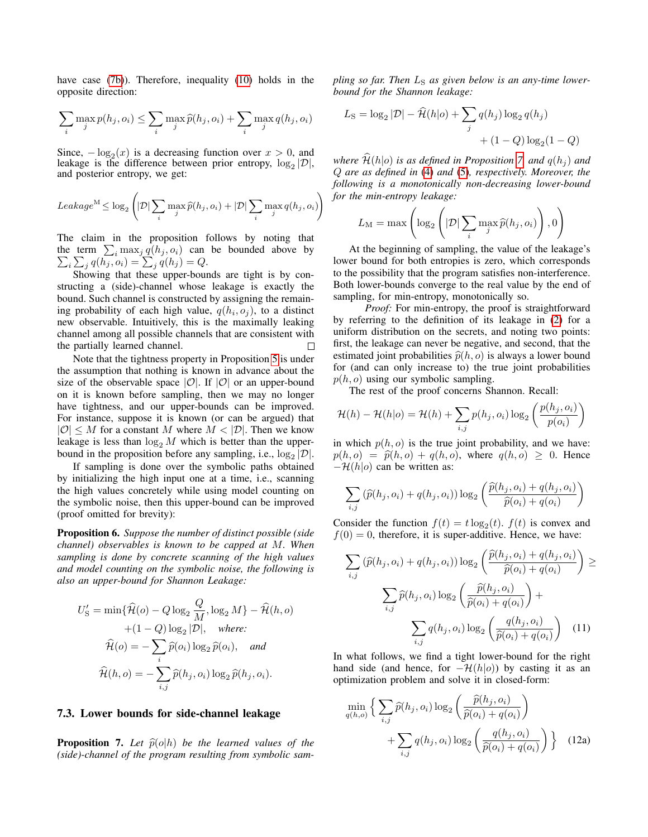have case [\(7b\)](#page-7-3)). Therefore, inequality [\(10\)](#page-8-4) holds in the opposite direction:

$$
\sum_{i} \max_{j} p(h_j, o_i) \le \sum_{i} \max_{j} \widehat{p}(h_j, o_i) + \sum_{i} \max_{j} q(h_j, o_i)
$$

Since,  $-\log_2(x)$  is a decreasing function over  $x > 0$ , and leakage is the difference between prior entropy,  $\log_2 |D|$ , and posterior entropy, we get:

$$
Leakage^{\mathcal{M}} \leq \log_2 \left( |\mathcal{D}| \sum_i \max_j \widehat{p}(h_j, o_i) + |\mathcal{D}| \sum_i \max_j q(h_j, o_i) \right)
$$

The claim in the proposition follows by noting that the term  $\Sigma$ P  $i \max_j q(h_j, o_i)$  can be bounded above by  $\sum_{i} q(h_j, o_i) = \sum_{j} q(h_j) = Q.$ 

Showing that these upper-bounds are tight is by constructing a (side)-channel whose leakage is exactly the bound. Such channel is constructed by assigning the remaining probability of each high value,  $q(h_i, o_j)$ , to a distinct new observable. Intuitively, this is the maximally leaking channel among all possible channels that are consistent with the partially learned channel.  $\Box$ 

Note that the tightness property in Proposition [5](#page-7-4) is under the assumption that nothing is known in advance about the size of the observable space  $|O|$ . If  $|O|$  or an upper-bound on it is known before sampling, then we may no longer have tightness, and our upper-bounds can be improved. For instance, suppose it is known (or can be argued) that  $|O| \leq M$  for a constant M where  $M < |D|$ . Then we know leakage is less than  $\log_2 M$  which is better than the upperbound in the proposition before any sampling, i.e.,  $\log_2 |D|$ .

If sampling is done over the symbolic paths obtained by initializing the high input one at a time, i.e., scanning the high values concretely while using model counting on the symbolic noise, then this upper-bound can be improved (proof omitted for brevity):

<span id="page-9-4"></span>Proposition 6. *Suppose the number of distinct possible (side channel) observables is known to be capped at* M*. When sampling is done by concrete scanning of the high values and model counting on the symbolic noise, the following is also an upper-bound for Shannon Leakage:*

$$
U'_{\rm S} = \min{\{\widehat{\mathcal{H}}(o) - Q\log_2\frac{Q}{M}, \log_2 M\} - \widehat{\mathcal{H}}(h, o)}
$$

$$
+ (1 - Q)\log_2 |\mathcal{D}|, \quad \text{where:}
$$

$$
\widehat{\mathcal{H}}(o) = -\sum_{i} \widehat{p}(o_i) \log_2 \widehat{p}(o_i), \quad \text{and}
$$

$$
\widehat{\mathcal{H}}(h, o) = -\sum_{i,j} \widehat{p}(h_j, o_i) \log_2 \widehat{p}(h_j, o_i).
$$

### 7.3. Lower bounds for side-channel leakage

<span id="page-9-0"></span>**Proposition 7.** Let  $\widehat{p}(o|h)$  *be the learned values of the (side)-channel of the program resulting from symbolic sam-* *pling so far. Then*  $L_S$  *as given below is an any-time lowerbound for the Shannon leakage:*

$$
L_{\rm S} = \log_2 |D| - \widehat{\mathcal{H}}(h|o) + \sum_j q(h_j) \log_2 q(h_j)
$$

$$
+ (1 - Q) \log_2(1 - Q)
$$

*where*  $\hat{\mathcal{H}}(h|o)$  *is as defined in Proposition [7,](#page-9-0) and*  $q(h_i)$  *and* Q *are as defined in* [\(4\)](#page-7-5) *and* [\(5\)](#page-7-6)*, respectively. Moreover, the following is a monotonically non-decreasing lower-bound for the min-entropy leakage:*

$$
L_{\rm M} = \max\left(\log_2\left(|\mathcal{D}| \sum_i \max_j \widehat{p}(h_j, o_i)\right), 0\right)
$$

At the beginning of sampling, the value of the leakage's lower bound for both entropies is zero, which corresponds to the possibility that the program satisfies non-interference. Both lower-bounds converge to the real value by the end of sampling, for min-entropy, monotonically so.

*Proof:* For min-entropy, the proof is straightforward by referring to the definition of its leakage in [\(2\)](#page-3-1) for a uniform distribution on the secrets, and noting two points: first, the leakage can never be negative, and second, that the estimated joint probabilities  $\hat{p}(h, o)$  is always a lower bound for (and can only increase to) the true joint probabilities  $p(h, o)$  using our symbolic sampling.

The rest of the proof concerns Shannon. Recall:

$$
\mathcal{H}(h) - \mathcal{H}(h|o) = \mathcal{H}(h) + \sum_{i,j} p(h_j, o_i) \log_2 \left( \frac{p(h_j, o_i)}{p(o_i)} \right)
$$

in which  $p(h, o)$  is the true joint probability, and we have:  $p(h, o) = \hat{p}(h, o) + q(h, o)$ , where  $q(h, o) \geq 0$ . Hence  $-{\cal H}(h|o)$  can be written as:

$$
\sum_{i,j} (\widehat{p}(h_j, o_i) + q(h_j, o_i)) \log_2 \left( \frac{\widehat{p}(h_j, o_i) + q(h_j, o_i)}{\widehat{p}(o_i) + q(o_i)} \right)
$$

Consider the function  $f(t) = t \log_2(t)$ .  $f(t)$  is convex and  $f(0) = 0$ , therefore, it is super-additive. Hence, we have:

<span id="page-9-3"></span>
$$
\sum_{i,j} (\widehat{p}(h_j, o_i) + q(h_j, o_i)) \log_2 \left( \frac{\widehat{p}(h_j, o_i) + q(h_j, o_i)}{\widehat{p}(o_i) + q(o_i)} \right) \ge
$$

$$
\sum_{i,j} \widehat{p}(h_j, o_i) \log_2 \left( \frac{\widehat{p}(h_j, o_i)}{\widehat{p}(o_i) + q(o_i)} \right) +
$$

$$
\sum_{i,j} q(h_j, o_i) \log_2 \left( \frac{q(h_j, o_i)}{\widehat{p}(o_i) + q(o_i)} \right) \quad (11)
$$

In what follows, we find a tight lower-bound for the right hand side (and hence, for  $-\mathcal{H}(h|o)$ ) by casting it as an optimization problem and solve it in closed-form:

<span id="page-9-2"></span><span id="page-9-1"></span>
$$
\min_{q(h,o)} \left\{ \sum_{i,j} \widehat{p}(h_j, o_i) \log_2 \left( \frac{\widehat{p}(h_j, o_i)}{\widehat{p}(o_i) + q(o_i)} \right) + \sum_{i,j} q(h_j, o_i) \log_2 \left( \frac{q(h_j, o_i)}{\widehat{p}(o_i) + q(o_i)} \right) \right\}
$$
(12a)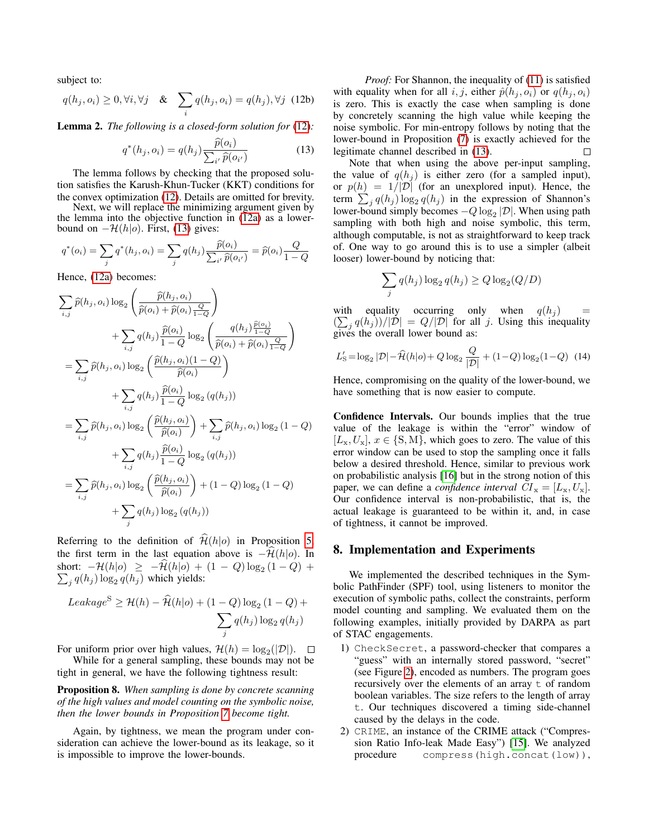subject to:

$$
q(h_j, o_i) \ge 0, \forall i, \forall j \& \sum_i q(h_j, o_i) = q(h_j), \forall j \ (12b)
$$

Lemma 2. *The following is a closed-form solution for* [\(12\)](#page-9-1)*:*

$$
q^*(h_j, o_i) = q(h_j) \frac{\widehat{p}(o_i)}{\sum_{i'} \widehat{p}(o_{i'})}
$$
(13)

The lemma follows by checking that the proposed solution satisfies the Karush-Khun-Tucker (KKT) conditions for the convex optimization [\(12\)](#page-9-1). Details are omitted for brevity.

Next, we will replace the minimizing argument given by the lemma into the objective function in [\(12a\)](#page-9-2) as a lowerbound on  $-\mathcal{H}(h|o)$ . First, [\(13\)](#page-10-1) gives:

$$
q^*(o_i) = \sum_j q^*(h_j, o_i) = \sum_j q(h_j) \frac{\widehat{p}(o_i)}{\sum_{i'} \widehat{p}(o_{i'})} = \widehat{p}(o_i) \frac{Q}{1 - Q}
$$

Hence, [\(12a\)](#page-9-2) becomes:

$$
\sum_{i,j} \widehat{p}(h_j, o_i) \log_2\left(\frac{\widehat{p}(h_j, o_i)}{\widehat{p}(o_i) + \widehat{p}(o_i)\frac{Q}{1-Q}}\right)
$$
  
+ 
$$
\sum_{i,j} q(h_j) \frac{\widehat{p}(o_i)}{1-Q} \log_2\left(\frac{q(h_j)\frac{\widehat{p}(o_i)}{1-Q}}{\widehat{p}(o_i) + \widehat{p}(o_i)\frac{Q}{1-Q}}\right)
$$
  
= 
$$
\sum_{i,j} \widehat{p}(h_j, o_i) \log_2\left(\frac{\widehat{p}(h_j, o_i)(1-Q)}{\widehat{p}(o_i)}\right)
$$
  
+ 
$$
\sum_{i,j} q(h_j) \frac{\widehat{p}(o_i)}{1-Q} \log_2(q(h_j))
$$
  
= 
$$
\sum_{i,j} \widehat{p}(h_j, o_i) \log_2\left(\frac{\widehat{p}(h_j, o_i)}{\widehat{p}(o_i)}\right) + \sum_{i,j} \widehat{p}(h_j, o_i) \log_2(1-Q)
$$
  
+ 
$$
\sum_{i,j} q(h_j) \frac{\widehat{p}(o_i)}{1-Q} \log_2(q(h_j))
$$
  
= 
$$
\sum_{i,j} \widehat{p}(h_j, o_i) \log_2\left(\frac{\widehat{p}(h_j, o_i)}{\widehat{p}(o_i)}\right) + (1-Q) \log_2(1-Q)
$$
  
+ 
$$
\sum_{j} q(h_j) \log_2(q(h_j))
$$

Referring to the definition of  $\hat{\mathcal{H}}(h|o)$  in Proposition [5,](#page-7-4) the first term in the last equation above is  $-\hat{\mathcal{H}}(h|o)$ . In short:  $-\mathcal{H}(h|o) \ge -\mathcal{H}(h|o) + (1 - Q)\log_2(1 - Q) +$  $\sum_{j} q(h_j) \log_2 q(h_j)$  which yields:

$$
Leakage^{S} \ge \mathcal{H}(h) - \mathcal{H}(h|o) + (1 - Q) \log_2(1 - Q) + \sum_{j} q(h_j) \log_2 q(h_j)
$$

For uniform prior over high values,  $\mathcal{H}(h) = \log_2(|\mathcal{D}|)$ . While for a general sampling, these bounds may not be

tight in general, we have the following tightness result:

<span id="page-10-2"></span>Proposition 8. *When sampling is done by concrete scanning of the high values and model counting on the symbolic noise, then the lower bounds in Proposition [7](#page-9-0) become tight.*

Again, by tightness, we mean the program under consideration can achieve the lower-bound as its leakage, so it is impossible to improve the lower-bounds.

*Proof:* For Shannon, the inequality of [\(11\)](#page-9-3) is satisfied with equality when for all i, j, either  $\hat{p}(h_i, o_i)$  or  $q(h_i, o_i)$ is zero. This is exactly the case when sampling is done by concretely scanning the high value while keeping the noise symbolic. For min-entropy follows by noting that the lower-bound in Proposition [\(7\)](#page-9-0) is exactly achieved for the legitimate channel described in [\(13\)](#page-10-1).  $\Box$ 

<span id="page-10-1"></span>Note that when using the above per-input sampling, the value of  $q(h_i)$  is either zero (for a sampled input), or  $p(h) = 1/|\mathcal{D}|$  (for an unexplored input). Hence, the term  $\sum_{j} q(h_j) \log_2 q(h_j)$  in the expression of Shannon's lower-bound simply becomes  $-Q \log_2 |D|$ . When using path sampling with both high and noise symbolic, this term, although computable, is not as straightforward to keep track of. One way to go around this is to use a simpler (albeit looser) lower-bound by noticing that:

<span id="page-10-3"></span>
$$
\sum_{j} q(h_j) \log_2 q(h_j) \ge Q \log_2(Q/D)
$$

with equality occurring only when  $q(h_j)$  =  $(\sum_j q(h_j))/|\mathcal{D}| = Q/|\mathcal{D}|$  for all j. Using this inequality gives the overall lower bound as:

$$
L'_{\rm S} = \log_2 |D| - \widehat{\mathcal{H}}(h|o) + Q \log_2 \frac{Q}{|D|} + (1 - Q) \log_2(1 - Q) \tag{14}
$$

Hence, compromising on the quality of the lower-bound, we have something that is now easier to compute.

Confidence Intervals. Our bounds implies that the true value of the leakage is within the "error" window of  $[L_x, U_x], x \in \{S, M\}$ , which goes to zero. The value of this error window can be used to stop the sampling once it falls below a desired threshold. Hence, similar to previous work on probabilistic analysis [\[16\]](#page-14-4) but in the strong notion of this paper, we can define a *confidence interval*  $CI_x = [L_x, U_x]$ . Our confidence interval is non-probabilistic, that is, the actual leakage is guaranteed to be within it, and, in case of tightness, it cannot be improved.

### <span id="page-10-0"></span>8. Implementation and Experiments

We implemented the described techniques in the Symbolic PathFinder (SPF) tool, using listeners to monitor the execution of symbolic paths, collect the constraints, perform model counting and sampling. We evaluated them on the following examples, initially provided by DARPA as part of STAC engagements.

- 1) CheckSecret, a password-checker that compares a "guess" with an internally stored password, "secret" (see Figure [2\)](#page-11-0), encoded as numbers. The program goes recursively over the elements of an array  $\pm$  of random boolean variables. The size refers to the length of array t. Our techniques discovered a timing side-channel caused by the delays in the code.
- 2) CRIME, an instance of the CRIME attack ("Compression Ratio Info-leak Made Easy") [\[15\]](#page-14-22). We analyzed procedure compress(high.concat(low)),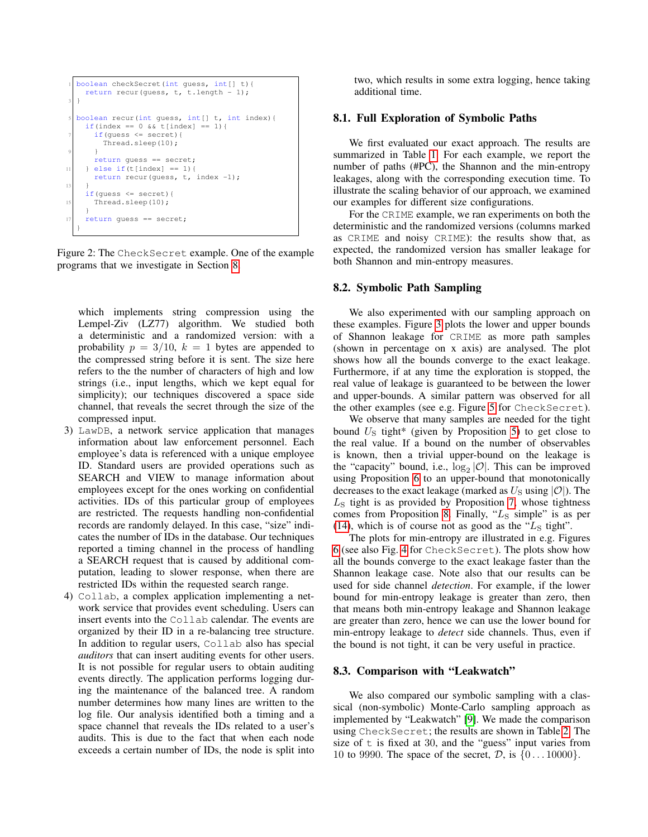```
boolean checkSecret(int quess, int[] t){
    return recur(guess, t, t.length - 1);
 3 }
  boolean recur(int guess, int[] t, int index){
    if(index == 0 \& (t \in [index] == 1)}
       if(quess \leq secret){
        Thread.sleep(10);
 9 }
      return guess == secret;
11 } else if(t[index] == 1){
      return recur(guess, t, index -1);
13 }
    if(quess \leq secret){
15 Thread.sleep(10);
     }
17 return quess == secret;
   }
```
Figure 2: The CheckSecret example. One of the example programs that we investigate in Section [8.](#page-10-0)

which implements string compression using the Lempel-Ziv (LZ77) algorithm. We studied both a deterministic and a randomized version: with a probability  $p = 3/10$ ,  $k = 1$  bytes are appended to the compressed string before it is sent. The size here refers to the the number of characters of high and low strings (i.e., input lengths, which we kept equal for simplicity); our techniques discovered a space side channel, that reveals the secret through the size of the compressed input.

- 3) LawDB, a network service application that manages information about law enforcement personnel. Each employee's data is referenced with a unique employee ID. Standard users are provided operations such as SEARCH and VIEW to manage information about employees except for the ones working on confidential activities. IDs of this particular group of employees are restricted. The requests handling non-confidential records are randomly delayed. In this case, "size" indicates the number of IDs in the database. Our techniques reported a timing channel in the process of handling a SEARCH request that is caused by additional computation, leading to slower response, when there are restricted IDs within the requested search range.
- 4) Collab, a complex application implementing a network service that provides event scheduling. Users can insert events into the Collab calendar. The events are organized by their ID in a re-balancing tree structure. In addition to regular users, Collab also has special *auditors* that can insert auditing events for other users. It is not possible for regular users to obtain auditing events directly. The application performs logging during the maintenance of the balanced tree. A random number determines how many lines are written to the log file. Our analysis identified both a timing and a space channel that reveals the IDs related to a user's audits. This is due to the fact that when each node exceeds a certain number of IDs, the node is split into

two, which results in some extra logging, hence taking additional time.

### 8.1. Full Exploration of Symbolic Paths

We first evaluated our exact approach. The results are summarized in Table [1.](#page-12-0) For each example, we report the number of paths (#PC), the Shannon and the min-entropy leakages, along with the corresponding execution time. To illustrate the scaling behavior of our approach, we examined our examples for different size configurations.

For the CRIME example, we ran experiments on both the deterministic and the randomized versions (columns marked as CRIME and noisy CRIME): the results show that, as expected, the randomized version has smaller leakage for both Shannon and min-entropy measures.

### 8.2. Symbolic Path Sampling

We also experimented with our sampling approach on these examples. Figure [3](#page-12-1) plots the lower and upper bounds of Shannon leakage for CRIME as more path samples (shown in percentage on x axis) are analysed. The plot shows how all the bounds converge to the exact leakage. Furthermore, if at any time the exploration is stopped, the real value of leakage is guaranteed to be between the lower and upper-bounds. A similar pattern was observed for all the other examples (see e.g. Figure [5](#page-12-2) for CheckSecret).

We observe that many samples are needed for the tight bound  $U<sub>S</sub>$  tight<sup>\*</sup> (given by Proposition [5\)](#page-7-4) to get close to the real value. If a bound on the number of observables is known, then a trivial upper-bound on the leakage is the "capacity" bound, i.e.,  $\log_2 |O|$ . This can be improved using Proposition [6](#page-9-4) to an upper-bound that monotonically decreases to the exact leakage (marked as  $U_{\rm S}$  using  $|O|$ ). The  $L<sub>S</sub>$  tight is as provided by Proposition [7,](#page-9-0) whose tightness comes from Proposition [8.](#page-10-2) Finally, " $L<sub>S</sub>$  simple" is as per [\(14\)](#page-10-3), which is of course not as good as the " $L<sub>S</sub>$  tight".

The plots for min-entropy are illustrated in e.g. Figures [6](#page-12-3) (see also Fig. [4](#page-12-4) for CheckSecret). The plots show how all the bounds converge to the exact leakage faster than the Shannon leakage case. Note also that our results can be used for side channel *detection*. For example, if the lower bound for min-entropy leakage is greater than zero, then that means both min-entropy leakage and Shannon leakage are greater than zero, hence we can use the lower bound for min-entropy leakage to *detect* side channels. Thus, even if the bound is not tight, it can be very useful in practice.

### 8.3. Comparison with "Leakwatch"

We also compared our symbolic sampling with a classical (non-symbolic) Monte-Carlo sampling approach as implemented by "Leakwatch" [\[9\]](#page-14-6). We made the comparison using CheckSecret; the results are shown in Table [2.](#page-13-2) The size of  $t$  is fixed at 30, and the "guess" input varies from 10 to 9990. The space of the secret,  $D$ , is  $\{0...10000\}$ .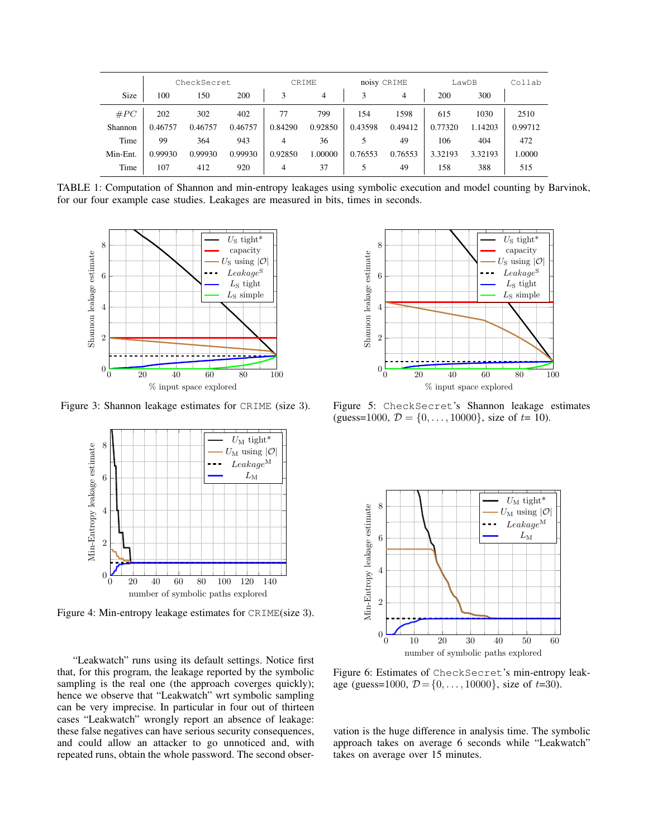<span id="page-12-0"></span>

|          |         | CheckSecret |         |         | CRIME   |         | noisy CRIME | LawDB   | Collab  |         |
|----------|---------|-------------|---------|---------|---------|---------|-------------|---------|---------|---------|
| Size     | 100     | 150         | 200     |         | 4       | 3       | 4           | 200     | 300     |         |
| $\#PC$   | 202     | 302         | 402     |         | 799     | 154     | 1598        | 615     | 1030    | 2510    |
| Shannon  | 0.46757 | 0.46757     | 0.46757 | 0.84290 | 0.92850 | 0.43598 | 0.49412     | 0.77320 | 1.14203 | 0.99712 |
| Time     | 99      | 364         | 943     | 4       | 36      |         | 49          | 106     | 404     | 472     |
| Min-Ent. | 0.99930 | 0.99930     | 0.99930 | 0.92850 | 1.00000 | 0.76553 | 0.76553     | 3.32193 | 3.32193 | 1.0000  |
| Time     | 107     | 412         | 920     | 4       | 37      |         | 49          | 158     | 388     | 515     |

TABLE 1: Computation of Shannon and min-entropy leakages using symbolic execution and model counting by Barvinok, for our four example case studies. Leakages are measured in bits, times in seconds.

<span id="page-12-1"></span>

<span id="page-12-4"></span>Figure 3: Shannon leakage estimates for CRIME (size 3).



Figure 4: Min-entropy leakage estimates for CRIME(size 3).

"Leakwatch" runs using its default settings. Notice first that, for this program, the leakage reported by the symbolic sampling is the real one (the approach coverges quickly); hence we observe that "Leakwatch" wrt symbolic sampling can be very imprecise. In particular in four out of thirteen cases "Leakwatch" wrongly report an absence of leakage: these false negatives can have serious security consequences, and could allow an attacker to go unnoticed and, with repeated runs, obtain the whole password. The second obser-

<span id="page-12-2"></span>

Figure 5: CheckSecret's Shannon leakage estimates (guess=1000,  $\mathcal{D} = \{0, \dots, 10000\}$ , size of  $t=10$ ).

<span id="page-12-3"></span>

Figure 6: Estimates of CheckSecret's min-entropy leakage (guess=1000,  $\mathcal{D} = \{0, \ldots, 10000\}$ , size of t=30).

vation is the huge difference in analysis time. The symbolic approach takes on average 6 seconds while "Leakwatch" takes on average over 15 minutes.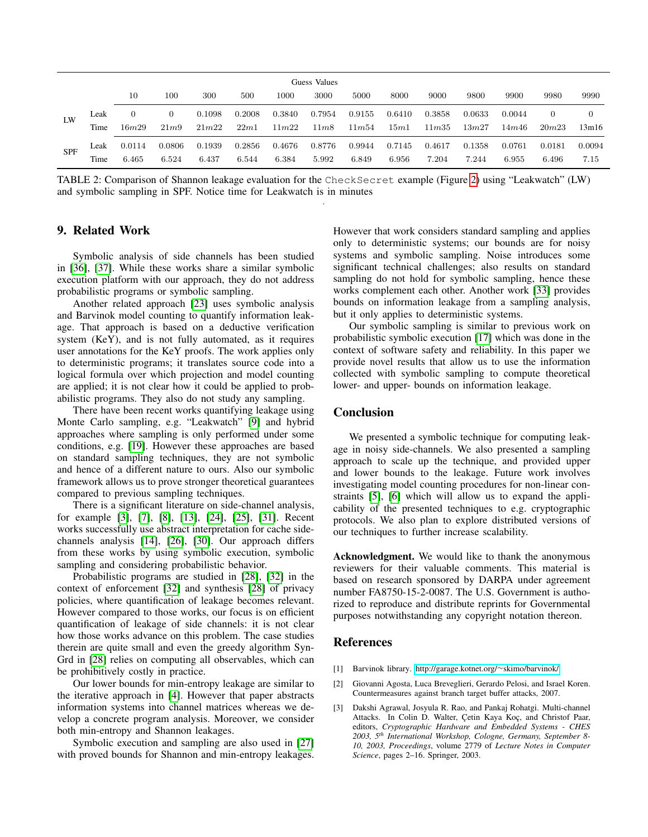<span id="page-13-2"></span>

| Guess Values |              |                 |                 |                 |                 |                 |                 |                 |                 |                 |                 |                 |                 |                |
|--------------|--------------|-----------------|-----------------|-----------------|-----------------|-----------------|-----------------|-----------------|-----------------|-----------------|-----------------|-----------------|-----------------|----------------|
|              |              | 10              | 100             | 300             | 500             | 1000            | 3000            | 5000            | 8000            | 9000            | 9800            | 9900            | 9980            | 9990           |
| LW           | Leak<br>Time | 0<br>16m29      | 21m9            | 0.1098<br>21m22 | 0.2008<br>22m1  | 0.3840<br>11m22 | 0.7954<br>11m8  | 0.9155<br>11m54 | 0.6410<br>15m1  | 0.3858<br>11m35 | 0.0633<br>13m27 | 0.0044<br>14m46 | 20m23           | 13m16          |
| <b>SPF</b>   | Leak<br>Time | 0.0114<br>6.465 | 0.0806<br>6.524 | 0.1939<br>6.437 | 0.2856<br>6.544 | 0.4676<br>6.384 | 0.8776<br>5.992 | 0.9944<br>6.849 | 0.7145<br>6.956 | 0.4617<br>7.204 | 0.1358<br>7.244 | 0.0761<br>6.955 | 0.0181<br>6.496 | 0.0094<br>7.15 |

TABLE 2: Comparison of Shannon leakage evaluation for the CheckSecret example (Figure [2\)](#page-11-0) using "Leakwatch" (LW) and symbolic sampling in SPF. Notice time for Leakwatch is in minutes .

### 9. Related Work

Symbolic analysis of side channels has been studied in [\[36\]](#page-14-19), [\[37\]](#page-14-15). While these works share a similar symbolic execution platform with our approach, they do not address probabilistic programs or symbolic sampling.

Another related approach [\[23\]](#page-14-23) uses symbolic analysis and Barvinok model counting to quantify information leakage. That approach is based on a deductive verification system (KeY), and is not fully automated, as it requires user annotations for the KeY proofs. The work applies only to deterministic programs; it translates source code into a logical formula over which projection and model counting are applied; it is not clear how it could be applied to probabilistic programs. They also do not study any sampling.

There have been recent works quantifying leakage using Monte Carlo sampling, e.g. "Leakwatch" [\[9\]](#page-14-6) and hybrid approaches where sampling is only performed under some conditions, e.g. [\[19\]](#page-14-20). However these approaches are based on standard sampling techniques, they are not symbolic and hence of a different nature to ours. Also our symbolic framework allows us to prove stronger theoretical guarantees compared to previous sampling techniques.

There is a significant literature on side-channel analysis, for example [\[3\]](#page-13-3), [\[7\]](#page-14-0), [\[8\]](#page-14-1), [\[13\]](#page-14-24), [\[24\]](#page-14-3), [\[25\]](#page-14-25), [\[31\]](#page-14-26). Recent works successfully use abstract interpretation for cache sidechannels analysis [\[14\]](#page-14-27), [\[26\]](#page-14-28), [\[30\]](#page-14-29). Our approach differs from these works by using symbolic execution, symbolic sampling and considering probabilistic behavior.

Probabilistic programs are studied in [\[28\]](#page-14-30), [\[32\]](#page-14-31) in the context of enforcement [\[32\]](#page-14-31) and synthesis [\[28\]](#page-14-30) of privacy policies, where quantification of leakage becomes relevant. However compared to those works, our focus is on efficient quantification of leakage of side channels: it is not clear how those works advance on this problem. The case studies therein are quite small and even the greedy algorithm Syn-Grd in [\[28\]](#page-14-30) relies on computing all observables, which can be prohibitively costly in practice.

Our lower bounds for min-entropy leakage are similar to the iterative approach in [\[4\]](#page-14-32). However that paper abstracts information systems into channel matrices whereas we develop a concrete program analysis. Moreover, we consider both min-entropy and Shannon leakages.

Symbolic execution and sampling are also used in [\[27\]](#page-14-33) with proved bounds for Shannon and min-entropy leakages. However that work considers standard sampling and applies only to deterministic systems; our bounds are for noisy systems and symbolic sampling. Noise introduces some significant technical challenges; also results on standard sampling do not hold for symbolic sampling, hence these works complement each other. Another work [\[33\]](#page-14-34) provides bounds on information leakage from a sampling analysis, but it only applies to deterministic systems.

Our symbolic sampling is similar to previous work on probabilistic symbolic execution [\[17\]](#page-14-35) which was done in the context of software safety and reliability. In this paper we provide novel results that allow us to use the information collected with symbolic sampling to compute theoretical lower- and upper- bounds on information leakage.

## **Conclusion**

We presented a symbolic technique for computing leakage in noisy side-channels. We also presented a sampling approach to scale up the technique, and provided upper and lower bounds to the leakage. Future work involves investigating model counting procedures for non-linear constraints [\[5\]](#page-14-13), [\[6\]](#page-14-36) which will allow us to expand the applicability of the presented techniques to e.g. cryptographic protocols. We also plan to explore distributed versions of our techniques to further increase scalability.

Acknowledgment. We would like to thank the anonymous reviewers for their valuable comments. This material is based on research sponsored by DARPA under agreement number FA8750-15-2-0087. The U.S. Government is authorized to reproduce and distribute reprints for Governmental purposes notwithstanding any copyright notation thereon.

# References

- <span id="page-13-0"></span>[1] Barvinok library. [http://garage.kotnet.org/](http://garage.kotnet.org/~skimo/barvinok/)∼skimo/barvinok/.
- <span id="page-13-1"></span>[2] Giovanni Agosta, Luca Breveglieri, Gerardo Pelosi, and Israel Koren. Countermeasures against branch target buffer attacks, 2007.
- <span id="page-13-3"></span>[3] Dakshi Agrawal, Josyula R. Rao, and Pankaj Rohatgi. Multi-channel Attacks. In Colin D. Walter, Çetin Kaya Koç, and Christof Paar, editors, *Cryptographic Hardware and Embedded Systems - CHES 2003, 5th International Workshop, Cologne, Germany, September 8- 10, 2003, Proceedings*, volume 2779 of *Lecture Notes in Computer Science*, pages 2–16. Springer, 2003.